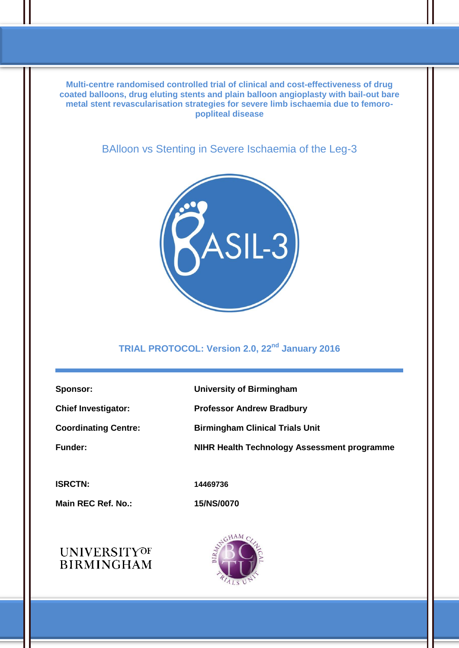**Multi-centre randomised controlled trial of clinical and cost-effectiveness of drug coated balloons, drug eluting stents and plain balloon angioplasty with bail-out bare metal stent revascularisation strategies for severe limb ischaemia due to femoropopliteal disease**

BAlloon vs Stenting in Severe Ischaemia of the Leg-3



# **TRIAL PROTOCOL: Version 2.0, 22nd January 2016**

| Sponsor:                    | <b>University of Birmingham</b>             |
|-----------------------------|---------------------------------------------|
| <b>Chief Investigator:</b>  | <b>Professor Andrew Bradbury</b>            |
| <b>Coordinating Centre:</b> | <b>Birmingham Clinical Trials Unit</b>      |
| <b>Funder:</b>              | NIHR Health Technology Assessment programme |
|                             |                                             |
| <b>ISRCTN:</b>              | 14469736                                    |

**Main REC Ref. No.: 15/NS/0070**



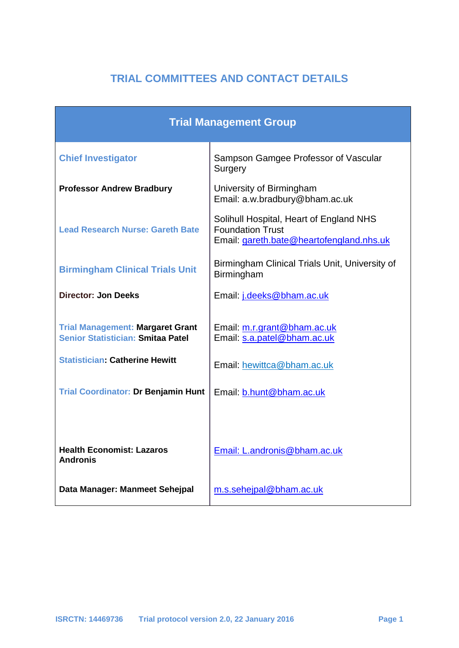# **TRIAL COMMITTEES AND CONTACT DETAILS**

| <b>Trial Management Group</b>                                                |                                                                                                                |  |  |
|------------------------------------------------------------------------------|----------------------------------------------------------------------------------------------------------------|--|--|
| <b>Chief Investigator</b>                                                    | Sampson Gamgee Professor of Vascular<br>Surgery                                                                |  |  |
| <b>Professor Andrew Bradbury</b>                                             | University of Birmingham<br>Email: a.w.bradbury@bham.ac.uk                                                     |  |  |
| <b>Lead Research Nurse: Gareth Bate</b>                                      | Solihull Hospital, Heart of England NHS<br><b>Foundation Trust</b><br>Email: gareth.bate@heartofengland.nhs.uk |  |  |
| <b>Birmingham Clinical Trials Unit</b>                                       | Birmingham Clinical Trials Unit, University of<br>Birmingham                                                   |  |  |
| <b>Director: Jon Deeks</b>                                                   | Email: j.deeks@bham.ac.uk                                                                                      |  |  |
| <b>Trial Management: Margaret Grant</b><br>Senior Statistician: Smitaa Patel | Email: m.r.grant@bham.ac.uk<br>Email: s.a.patel@bham.ac.uk                                                     |  |  |
| <b>Statistician: Catherine Hewitt</b>                                        | Email: hewittca@bham.ac.uk                                                                                     |  |  |
| <b>Trial Coordinator: Dr Benjamin Hunt</b>                                   | Email: b.hunt@bham.ac.uk                                                                                       |  |  |
|                                                                              |                                                                                                                |  |  |
| <b>Health Economist: Lazaros</b><br><b>Andronis</b>                          | Email: L.andronis@bham.ac.uk                                                                                   |  |  |
| Data Manager: Manmeet Sehejpal                                               | m.s.sehejpal@bham.ac.uk                                                                                        |  |  |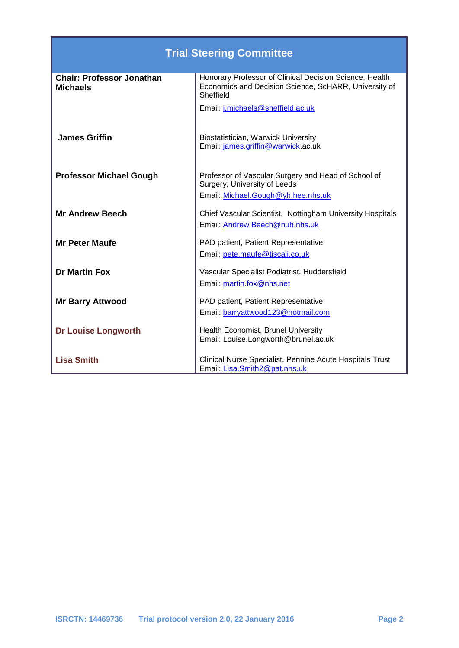| <b>Trial Steering Committee</b>                     |                                                                                                                               |  |  |
|-----------------------------------------------------|-------------------------------------------------------------------------------------------------------------------------------|--|--|
| <b>Chair: Professor Jonathan</b><br><b>Michaels</b> | Honorary Professor of Clinical Decision Science, Health<br>Economics and Decision Science, ScHARR, University of<br>Sheffield |  |  |
|                                                     | Email: j.michaels@sheffield.ac.uk                                                                                             |  |  |
| <b>James Griffin</b>                                | Biostatistician, Warwick University<br>Email: james.griffin@warwick.ac.uk                                                     |  |  |
| <b>Professor Michael Gough</b>                      | Professor of Vascular Surgery and Head of School of<br>Surgery, University of Leeds<br>Email: Michael.Gough@yh.hee.nhs.uk     |  |  |
| <b>Mr Andrew Beech</b>                              | Chief Vascular Scientist, Nottingham University Hospitals<br>Email: Andrew.Beech@nuh.nhs.uk                                   |  |  |
| <b>Mr Peter Maufe</b>                               | PAD patient, Patient Representative<br>Email: pete.maufe@tiscali.co.uk                                                        |  |  |
| <b>Dr Martin Fox</b>                                | Vascular Specialist Podiatrist, Huddersfield<br>Email: martin.fox@nhs.net                                                     |  |  |
| <b>Mr Barry Attwood</b>                             | PAD patient, Patient Representative<br>Email: barryattwood123@hotmail.com                                                     |  |  |
| <b>Dr Louise Longworth</b>                          | Health Economist, Brunel University<br>Email: Louise.Longworth@brunel.ac.uk                                                   |  |  |
| <b>Lisa Smith</b>                                   | Clinical Nurse Specialist, Pennine Acute Hospitals Trust<br>Email: Lisa.Smith2@pat.nhs.uk                                     |  |  |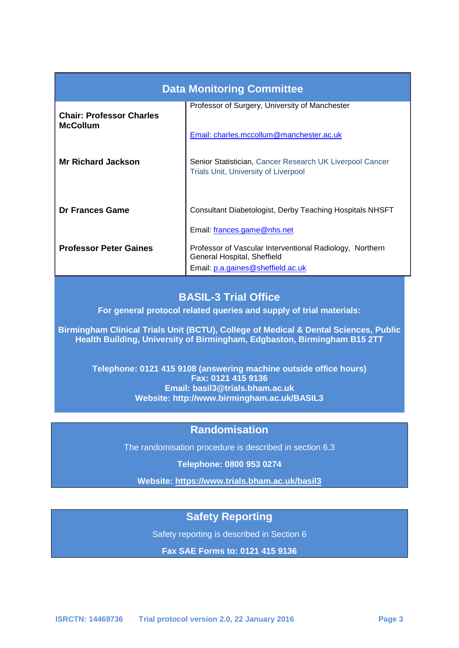| <b>Data Monitoring Committee</b>                   |                                                                                                                              |  |  |  |
|----------------------------------------------------|------------------------------------------------------------------------------------------------------------------------------|--|--|--|
| <b>Chair: Professor Charles</b><br><b>McCollum</b> | Professor of Surgery, University of Manchester                                                                               |  |  |  |
|                                                    | Email: charles.mccollum@manchester.ac.uk                                                                                     |  |  |  |
| <b>Mr Richard Jackson</b>                          | Senior Statistician, Cancer Research UK Liverpool Cancer<br><b>Trials Unit, University of Liverpool</b>                      |  |  |  |
| Dr Frances Game                                    | Consultant Diabetologist, Derby Teaching Hospitals NHSFT                                                                     |  |  |  |
|                                                    | Email: frances.game@nhs.net                                                                                                  |  |  |  |
| <b>Professor Peter Gaines</b>                      | Professor of Vascular Interventional Radiology, Northern<br>General Hospital, Sheffield<br>Email: p.a.gaines@sheffield.ac.uk |  |  |  |

# **BASIL-3 Trial Office**

**For general protocol related queries and supply of trial materials:**

**Birmingham Clinical Trials Unit (BCTU), College of Medical & Dental Sciences, Public Health Building, University of Birmingham, Edgbaston, Birmingham B15 2TT**

**Telephone: 0121 415 9108 (answering machine outside office hours) Fax: 0121 415 9136 Email: basil3@trials.bham.ac.uk Website: http://www.birmingham.ac.uk/BASIL3**

### **Randomisation**

The randomisation procedure is described in section 6.3

**Telephone: 0800 953 0274**

**Website: https://www.trials.bham.ac.uk/basil3**

# **Safety Reporting**

Safety reporting is described in Section 6

**Fax SAE Forms to: 0121 415 9136**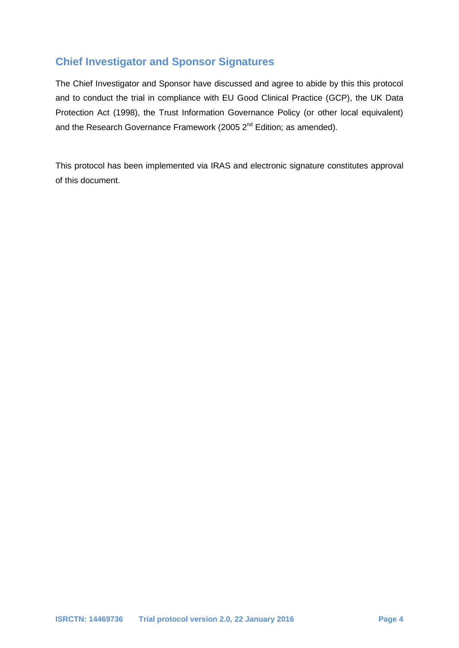# **Chief Investigator and Sponsor Signatures**

The Chief Investigator and Sponsor have discussed and agree to abide by this this protocol and to conduct the trial in compliance with EU Good Clinical Practice (GCP), the UK Data Protection Act (1998), the Trust Information Governance Policy (or other local equivalent) and the Research Governance Framework (2005 2<sup>nd</sup> Edition; as amended).

This protocol has been implemented via IRAS and electronic signature constitutes approval of this document.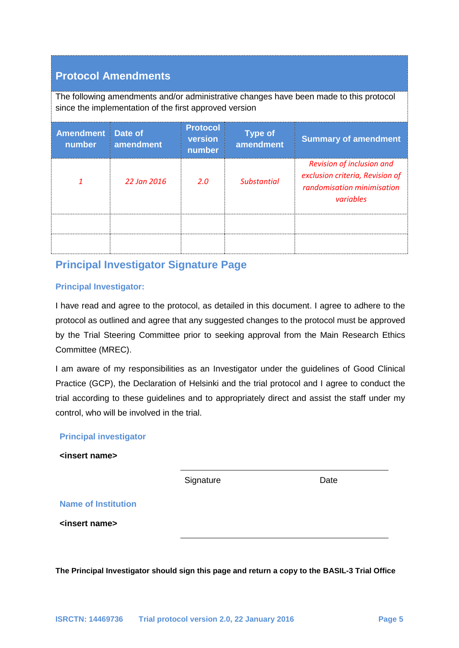# **Protocol Amendments**

The following amendments and/or administrative changes have been made to this protocol since the implementation of the first approved version

| <b>Amendment</b><br>number | Date of<br>amendment | <b>Protocol</b><br>version<br>number | <b>Type of</b><br>amendment | <b>Summary of amendment</b>                                                                             |
|----------------------------|----------------------|--------------------------------------|-----------------------------|---------------------------------------------------------------------------------------------------------|
|                            | 22 Jan 2016          | 2.0                                  | <b>Substantial</b>          | Revision of inclusion and<br>exclusion criteria, Revision of<br>randomisation minimisation<br>variables |
|                            |                      |                                      |                             |                                                                                                         |
|                            |                      |                                      |                             |                                                                                                         |

# **Principal Investigator Signature Page**

#### **Principal Investigator:**

I have read and agree to the protocol, as detailed in this document. I agree to adhere to the protocol as outlined and agree that any suggested changes to the protocol must be approved by the Trial Steering Committee prior to seeking approval from the Main Research Ethics Committee (MREC).

I am aware of my responsibilities as an Investigator under the guidelines of Good Clinical Practice (GCP), the Declaration of Helsinki and the trial protocol and I agree to conduct the trial according to these guidelines and to appropriately direct and assist the staff under my control, who will be involved in the trial.

#### **Principal investigator**

**<insert name>**

Signature Date

**Name of Institution**

**<insert name>**

**The Principal Investigator should sign this page and return a copy to the BASIL-3 Trial Office**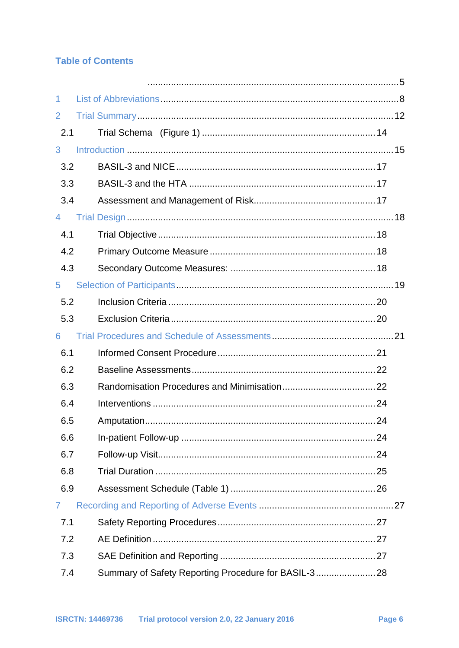# **Table of Contents**

| 1              |      |  |
|----------------|------|--|
| 2              |      |  |
| 2.1            |      |  |
| 3              |      |  |
| 3.2            |      |  |
| 3.3            |      |  |
| 3.4            |      |  |
| $\overline{4}$ |      |  |
| 4.1            |      |  |
| 4.2            |      |  |
| 4.3            |      |  |
| 5              |      |  |
| 5.2            |      |  |
| 5.3            |      |  |
|                |      |  |
| 6              |      |  |
| 6.1            |      |  |
| 6.2            |      |  |
| 6.3            |      |  |
| 6.4            |      |  |
| 6.5            | . 24 |  |
| 6.6            |      |  |
| 6.7            |      |  |
| 6.8            |      |  |
| 6.9            |      |  |
| $\mathbf{7}$   |      |  |
| 7.1            |      |  |
| 7.2            |      |  |
| 7.3            |      |  |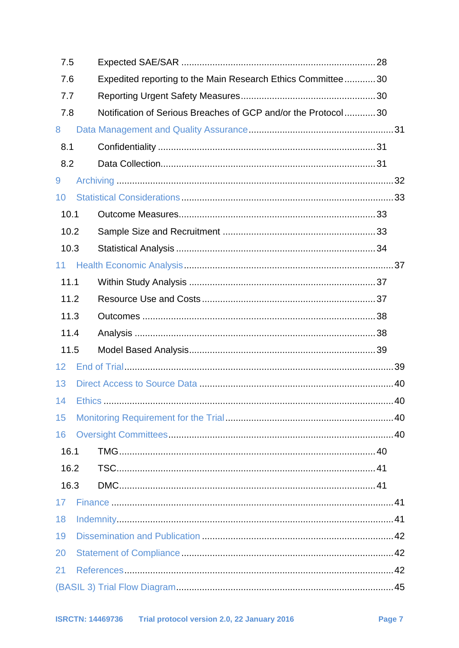| 7.5  |                                                                      |  |  |
|------|----------------------------------------------------------------------|--|--|
| 7.6  | Expedited reporting to the Main Research Ethics Committee30          |  |  |
|      | 7.7                                                                  |  |  |
|      | Notification of Serious Breaches of GCP and/or the Protocol30<br>7.8 |  |  |
| 8    |                                                                      |  |  |
| 8.1  |                                                                      |  |  |
| 8.2  |                                                                      |  |  |
| 9    |                                                                      |  |  |
| 10   |                                                                      |  |  |
| 10.1 |                                                                      |  |  |
| 10.2 |                                                                      |  |  |
| 10.3 |                                                                      |  |  |
| 11   |                                                                      |  |  |
| 11.1 |                                                                      |  |  |
| 11.2 |                                                                      |  |  |
| 11.3 |                                                                      |  |  |
|      |                                                                      |  |  |
| 11.4 |                                                                      |  |  |
| 11.5 |                                                                      |  |  |
| 12   |                                                                      |  |  |
| 13   |                                                                      |  |  |
|      |                                                                      |  |  |
| 15   |                                                                      |  |  |
| 16   |                                                                      |  |  |
| 16.1 |                                                                      |  |  |
| 16.2 |                                                                      |  |  |
| 16.3 |                                                                      |  |  |
| 17   |                                                                      |  |  |
| 18   |                                                                      |  |  |
| 19   |                                                                      |  |  |
| 20   |                                                                      |  |  |
| 21   |                                                                      |  |  |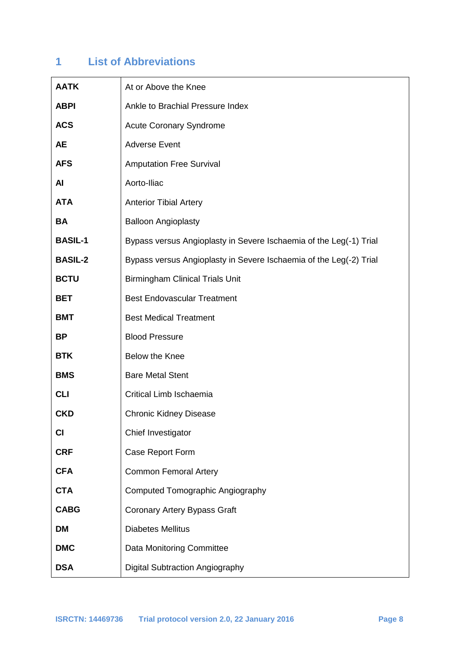# **1 List of Abbreviations**

| <b>AATK</b>    | At or Above the Knee                                               |
|----------------|--------------------------------------------------------------------|
| <b>ABPI</b>    | Ankle to Brachial Pressure Index                                   |
| <b>ACS</b>     | <b>Acute Coronary Syndrome</b>                                     |
| AE             | <b>Adverse Event</b>                                               |
| <b>AFS</b>     | <b>Amputation Free Survival</b>                                    |
| AI             | Aorto-Iliac                                                        |
| <b>ATA</b>     | <b>Anterior Tibial Artery</b>                                      |
| <b>BA</b>      | <b>Balloon Angioplasty</b>                                         |
| <b>BASIL-1</b> | Bypass versus Angioplasty in Severe Ischaemia of the Leg(-1) Trial |
| <b>BASIL-2</b> | Bypass versus Angioplasty in Severe Ischaemia of the Leg(-2) Trial |
| <b>BCTU</b>    | <b>Birmingham Clinical Trials Unit</b>                             |
| <b>BET</b>     | <b>Best Endovascular Treatment</b>                                 |
| <b>BMT</b>     | <b>Best Medical Treatment</b>                                      |
| <b>BP</b>      | <b>Blood Pressure</b>                                              |
| <b>BTK</b>     | Below the Knee                                                     |
| <b>BMS</b>     | <b>Bare Metal Stent</b>                                            |
| <b>CLI</b>     | Critical Limb Ischaemia                                            |
| <b>CKD</b>     | <b>Chronic Kidney Disease</b>                                      |
| CI             | Chief Investigator                                                 |
| <b>CRF</b>     | Case Report Form                                                   |
| <b>CFA</b>     | <b>Common Femoral Artery</b>                                       |
| <b>CTA</b>     | Computed Tomographic Angiography                                   |
| <b>CABG</b>    | <b>Coronary Artery Bypass Graft</b>                                |
| <b>DM</b>      | <b>Diabetes Mellitus</b>                                           |
| <b>DMC</b>     | Data Monitoring Committee                                          |
| <b>DSA</b>     | <b>Digital Subtraction Angiography</b>                             |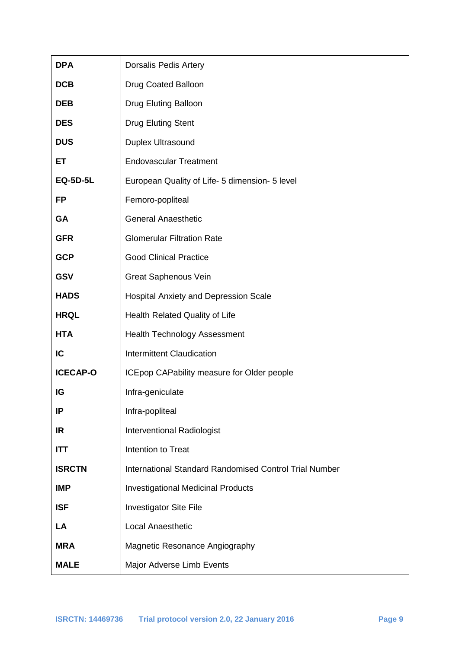| <b>DPA</b>      | <b>Dorsalis Pedis Artery</b>                                  |
|-----------------|---------------------------------------------------------------|
| <b>DCB</b>      | Drug Coated Balloon                                           |
| <b>DEB</b>      | Drug Eluting Balloon                                          |
| <b>DES</b>      | <b>Drug Eluting Stent</b>                                     |
| <b>DUS</b>      | Duplex Ultrasound                                             |
| ET              | <b>Endovascular Treatment</b>                                 |
| <b>EQ-5D-5L</b> | European Quality of Life- 5 dimension- 5 level                |
| <b>FP</b>       | Femoro-popliteal                                              |
| GA              | <b>General Anaesthetic</b>                                    |
| <b>GFR</b>      | <b>Glomerular Filtration Rate</b>                             |
| <b>GCP</b>      | <b>Good Clinical Practice</b>                                 |
| <b>GSV</b>      | <b>Great Saphenous Vein</b>                                   |
| <b>HADS</b>     | <b>Hospital Anxiety and Depression Scale</b>                  |
| <b>HRQL</b>     | Health Related Quality of Life                                |
| <b>HTA</b>      | <b>Health Technology Assessment</b>                           |
| IC              | <b>Intermittent Claudication</b>                              |
| <b>ICECAP-O</b> | ICEpop CAPability measure for Older people                    |
| IG              | Infra-geniculate                                              |
| IP              | Infra-popliteal                                               |
| IR              | <b>Interventional Radiologist</b>                             |
| ITT             | Intention to Treat                                            |
| <b>ISRCTN</b>   | <b>International Standard Randomised Control Trial Number</b> |
| <b>IMP</b>      | <b>Investigational Medicinal Products</b>                     |
| <b>ISF</b>      | <b>Investigator Site File</b>                                 |
| LA              | <b>Local Anaesthetic</b>                                      |
| <b>MRA</b>      | Magnetic Resonance Angiography                                |
| <b>MALE</b>     | Major Adverse Limb Events                                     |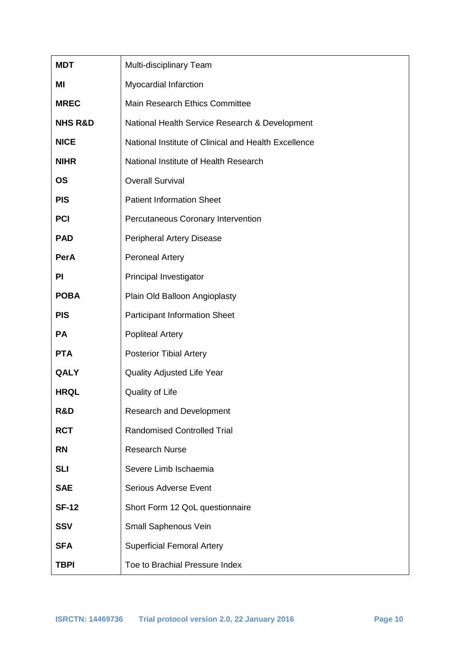| <b>MDT</b>         | Multi-disciplinary Team                              |
|--------------------|------------------------------------------------------|
| ΜI                 | Myocardial Infarction                                |
| <b>MREC</b>        | Main Research Ethics Committee                       |
| <b>NHS R&amp;D</b> | National Health Service Research & Development       |
| <b>NICE</b>        | National Institute of Clinical and Health Excellence |
| <b>NIHR</b>        | National Institute of Health Research                |
| <b>OS</b>          | <b>Overall Survival</b>                              |
| <b>PIS</b>         | <b>Patient Information Sheet</b>                     |
| <b>PCI</b>         | Percutaneous Coronary Intervention                   |
| <b>PAD</b>         | <b>Peripheral Artery Disease</b>                     |
| <b>PerA</b>        | <b>Peroneal Artery</b>                               |
| PI                 | Principal Investigator                               |
| <b>POBA</b>        | Plain Old Balloon Angioplasty                        |
| <b>PIS</b>         | <b>Participant Information Sheet</b>                 |
| PA                 | <b>Popliteal Artery</b>                              |
| <b>PTA</b>         | <b>Posterior Tibial Artery</b>                       |
| QALY               | <b>Quality Adjusted Life Year</b>                    |
| <b>HRQL</b>        | Quality of Life                                      |
| R&D                | <b>Research and Development</b>                      |
| <b>RCT</b>         | <b>Randomised Controlled Trial</b>                   |
| <b>RN</b>          | <b>Research Nurse</b>                                |
| <b>SLI</b>         | Severe Limb Ischaemia                                |
| <b>SAE</b>         | <b>Serious Adverse Event</b>                         |
| <b>SF-12</b>       | Short Form 12 QoL questionnaire                      |
| <b>SSV</b>         | Small Saphenous Vein                                 |
| <b>SFA</b>         | <b>Superficial Femoral Artery</b>                    |
| <b>TBPI</b>        | Toe to Brachial Pressure Index                       |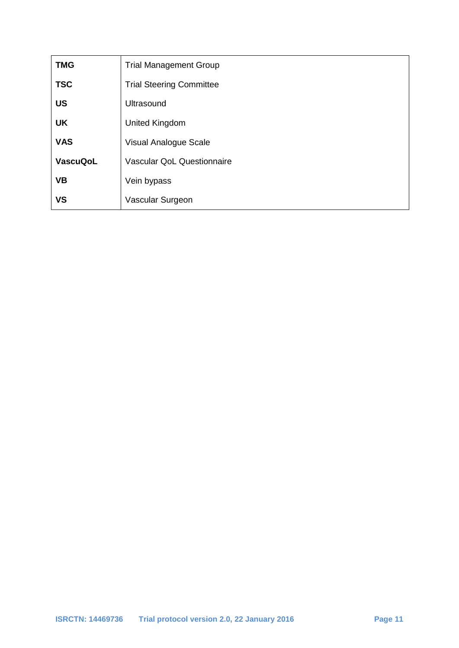| <b>TMG</b>      | <b>Trial Management Group</b>     |
|-----------------|-----------------------------------|
| <b>TSC</b>      | <b>Trial Steering Committee</b>   |
| <b>US</b>       | <b>Ultrasound</b>                 |
| <b>UK</b>       | United Kingdom                    |
| <b>VAS</b>      | Visual Analogue Scale             |
| <b>VascuQoL</b> | <b>Vascular QoL Questionnaire</b> |
| <b>VB</b>       | Vein bypass                       |
| <b>VS</b>       | Vascular Surgeon                  |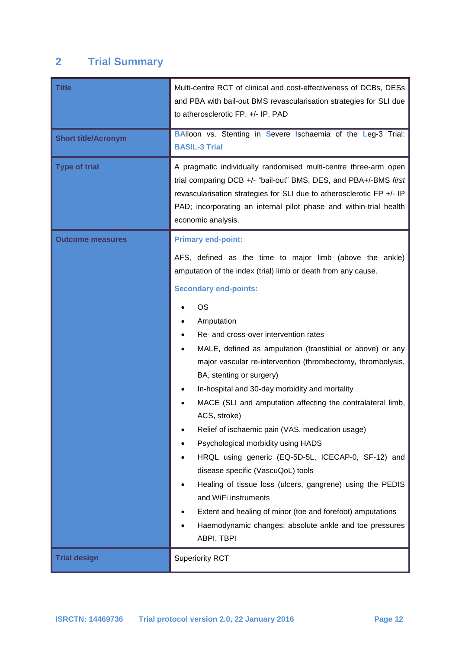# **2 Trial Summary**

| <b>Title</b><br><b>Short title/Acronym</b><br><b>Type of trial</b> | Multi-centre RCT of clinical and cost-effectiveness of DCBs, DESs<br>and PBA with bail-out BMS revascularisation strategies for SLI due<br>to atherosclerotic FP, +/- IP, PAD<br><b>BAlloon vs. Stenting in Severe Ischaemia of the Leg-3 Trial:</b><br><b>BASIL-3 Trial</b><br>A pragmatic individually randomised multi-centre three-arm open<br>trial comparing DCB +/- "bail-out" BMS, DES, and PBA+/-BMS first                                                                                                                                                                                                                                                                                                                                                                                                                                                                                     |  |
|--------------------------------------------------------------------|---------------------------------------------------------------------------------------------------------------------------------------------------------------------------------------------------------------------------------------------------------------------------------------------------------------------------------------------------------------------------------------------------------------------------------------------------------------------------------------------------------------------------------------------------------------------------------------------------------------------------------------------------------------------------------------------------------------------------------------------------------------------------------------------------------------------------------------------------------------------------------------------------------|--|
|                                                                    | revascularisation strategies for SLI due to atherosclerotic FP +/- IP<br>PAD; incorporating an internal pilot phase and within-trial health<br>economic analysis.                                                                                                                                                                                                                                                                                                                                                                                                                                                                                                                                                                                                                                                                                                                                       |  |
| <b>Outcome measures</b>                                            | <b>Primary end-point:</b><br>AFS, defined as the time to major limb (above the ankle)<br>amputation of the index (trial) limb or death from any cause.<br><b>Secondary end-points:</b><br><b>OS</b><br>Amputation<br>Re- and cross-over intervention rates<br>MALE, defined as amputation (transtibial or above) or any<br>$\bullet$<br>major vascular re-intervention (thrombectomy, thrombolysis,<br>BA, stenting or surgery)<br>In-hospital and 30-day morbidity and mortality<br>MACE (SLI and amputation affecting the contralateral limb,<br>ACS, stroke)<br>Relief of ischaemic pain (VAS, medication usage)<br>Psychological morbidity using HADS<br>HRQL using generic (EQ-5D-5L, ICECAP-0, SF-12) and<br>disease specific (VascuQoL) tools<br>Healing of tissue loss (ulcers, gangrene) using the PEDIS<br>and WiFi instruments<br>Extent and healing of minor (toe and forefoot) amputations |  |
| <b>Trial design</b>                                                | Haemodynamic changes; absolute ankle and toe pressures<br>ABPI, TBPI<br><b>Superiority RCT</b>                                                                                                                                                                                                                                                                                                                                                                                                                                                                                                                                                                                                                                                                                                                                                                                                          |  |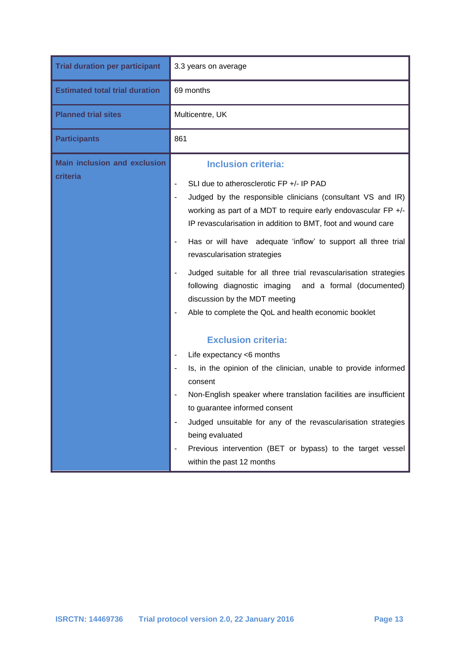| <b>Trial duration per participant</b>           | 3.3 years on average                                                                                                                                                                                                                                                                                                                                                                                                                                                                                                                                                                                                       |  |  |
|-------------------------------------------------|----------------------------------------------------------------------------------------------------------------------------------------------------------------------------------------------------------------------------------------------------------------------------------------------------------------------------------------------------------------------------------------------------------------------------------------------------------------------------------------------------------------------------------------------------------------------------------------------------------------------------|--|--|
| <b>Estimated total trial duration</b>           | 69 months                                                                                                                                                                                                                                                                                                                                                                                                                                                                                                                                                                                                                  |  |  |
| <b>Planned trial sites</b>                      | Multicentre, UK                                                                                                                                                                                                                                                                                                                                                                                                                                                                                                                                                                                                            |  |  |
| <b>Participants</b>                             | 861                                                                                                                                                                                                                                                                                                                                                                                                                                                                                                                                                                                                                        |  |  |
| <b>Main inclusion and exclusion</b><br>criteria | <b>Inclusion criteria:</b><br>SLI due to atherosclerotic FP +/- IP PAD<br>Judged by the responsible clinicians (consultant VS and IR)<br>$\overline{\phantom{a}}$<br>working as part of a MDT to require early endovascular FP +/-<br>IP revascularisation in addition to BMT, foot and wound care<br>Has or will have adequate 'inflow' to support all three trial<br>revascularisation strategies<br>Judged suitable for all three trial revascularisation strategies<br>following diagnostic imaging and a formal (documented)<br>discussion by the MDT meeting<br>Able to complete the QoL and health economic booklet |  |  |
|                                                 | <b>Exclusion criteria:</b><br>Life expectancy <6 months<br>Is, in the opinion of the clinician, unable to provide informed<br>consent<br>Non-English speaker where translation facilities are insufficient<br>to guarantee informed consent<br>Judged unsuitable for any of the revascularisation strategies<br>being evaluated<br>Previous intervention (BET or bypass) to the target vessel<br>within the past 12 months                                                                                                                                                                                                 |  |  |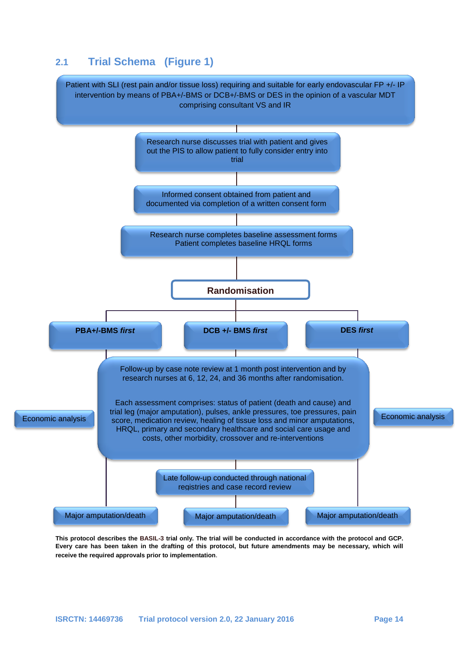# **2.1 Trial Schema (Figure 1)**



**This protocol describes the BASIL-3 trial only. The trial will be conducted in accordance with the protocol and GCP. Every care has been taken in the drafting of this protocol, but future amendments may be necessary, which will receive the required approvals prior to implementation**.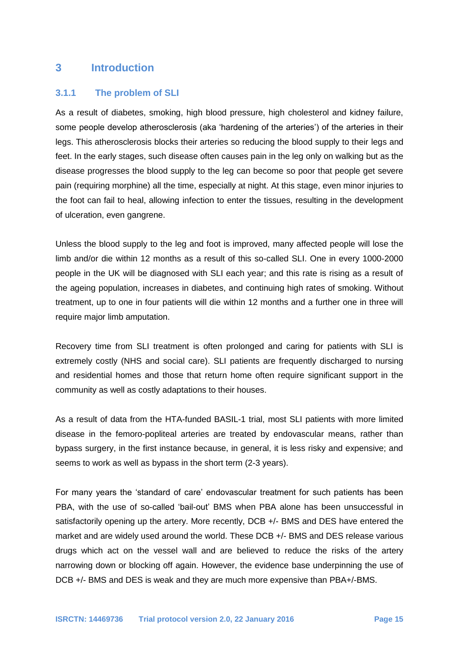# **3 Introduction**

#### **3.1.1 The problem of SLI**

As a result of diabetes, smoking, high blood pressure, high cholesterol and kidney failure, some people develop atherosclerosis (aka 'hardening of the arteries') of the arteries in their legs. This atherosclerosis blocks their arteries so reducing the blood supply to their legs and feet. In the early stages, such disease often causes pain in the leg only on walking but as the disease progresses the blood supply to the leg can become so poor that people get severe pain (requiring morphine) all the time, especially at night. At this stage, even minor injuries to the foot can fail to heal, allowing infection to enter the tissues, resulting in the development of ulceration, even gangrene.

Unless the blood supply to the leg and foot is improved, many affected people will lose the limb and/or die within 12 months as a result of this so-called SLI. One in every 1000-2000 people in the UK will be diagnosed with SLI each year; and this rate is rising as a result of the ageing population, increases in diabetes, and continuing high rates of smoking. Without treatment, up to one in four patients will die within 12 months and a further one in three will require major limb amputation.

Recovery time from SLI treatment is often prolonged and caring for patients with SLI is extremely costly (NHS and social care). SLI patients are frequently discharged to nursing and residential homes and those that return home often require significant support in the community as well as costly adaptations to their houses.

As a result of data from the HTA-funded BASIL-1 trial, most SLI patients with more limited disease in the femoro-popliteal arteries are treated by endovascular means, rather than bypass surgery, in the first instance because, in general, it is less risky and expensive; and seems to work as well as bypass in the short term (2-3 years).

For many years the 'standard of care' endovascular treatment for such patients has been PBA, with the use of so-called 'bail-out' BMS when PBA alone has been unsuccessful in satisfactorily opening up the artery. More recently, DCB +/- BMS and DES have entered the market and are widely used around the world. These DCB +/- BMS and DES release various drugs which act on the vessel wall and are believed to reduce the risks of the artery narrowing down or blocking off again. However, the evidence base underpinning the use of DCB +/- BMS and DES is weak and they are much more expensive than PBA+/-BMS.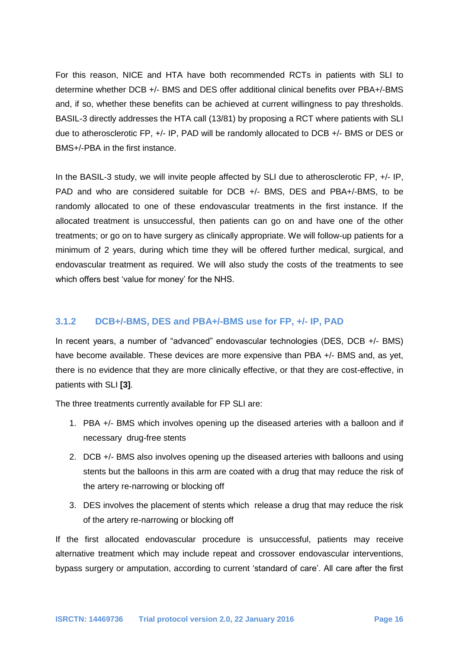For this reason, NICE and HTA have both recommended RCTs in patients with SLI to determine whether DCB +/- BMS and DES offer additional clinical benefits over PBA+/-BMS and, if so, whether these benefits can be achieved at current willingness to pay thresholds. BASIL-3 directly addresses the HTA call (13/81) by proposing a RCT where patients with SLI due to atherosclerotic FP, +/- IP, PAD will be randomly allocated to DCB +/- BMS or DES or BMS+/-PBA in the first instance.

In the BASIL-3 study, we will invite people affected by SLI due to atherosclerotic FP, +/- IP, PAD and who are considered suitable for DCB +/- BMS, DES and PBA+/-BMS, to be randomly allocated to one of these endovascular treatments in the first instance. If the allocated treatment is unsuccessful, then patients can go on and have one of the other treatments; or go on to have surgery as clinically appropriate. We will follow-up patients for a minimum of 2 years, during which time they will be offered further medical, surgical, and endovascular treatment as required. We will also study the costs of the treatments to see which offers best 'value for money' for the NHS.

#### **3.1.2 DCB+/-BMS, DES and PBA+/-BMS use for FP, +/- IP, PAD**

In recent years, a number of "advanced" endovascular technologies (DES, DCB +/- BMS) have become available. These devices are more expensive than PBA +/- BMS and, as yet, there is no evidence that they are more clinically effective, or that they are cost-effective, in patients with SLI **[3]**.

The three treatments currently available for FP SLI are:

- 1. PBA +/- BMS which involves opening up the diseased arteries with a balloon and if necessary drug-free stents
- 2. DCB +/- BMS also involves opening up the diseased arteries with balloons and using stents but the balloons in this arm are coated with a drug that may reduce the risk of the artery re-narrowing or blocking off
- 3. DES involves the placement of stents which release a drug that may reduce the risk of the artery re-narrowing or blocking off

If the first allocated endovascular procedure is unsuccessful, patients may receive alternative treatment which may include repeat and crossover endovascular interventions, bypass surgery or amputation, according to current 'standard of care'. All care after the first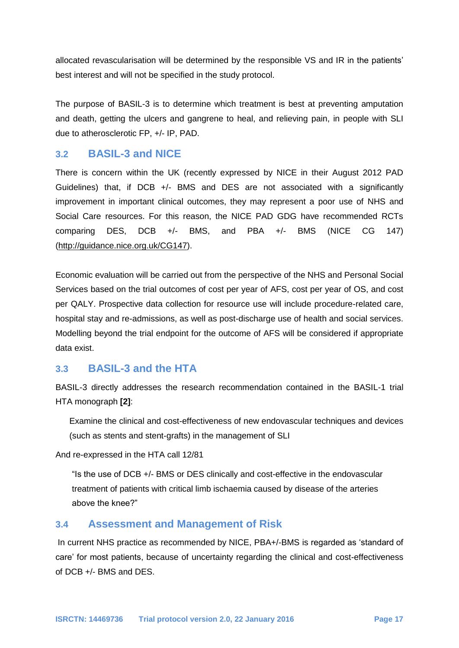allocated revascularisation will be determined by the responsible VS and IR in the patients' best interest and will not be specified in the study protocol.

The purpose of BASIL-3 is to determine which treatment is best at preventing amputation and death, getting the ulcers and gangrene to heal, and relieving pain, in people with SLI due to atherosclerotic FP, +/- IP, PAD.

# **3.2 BASIL-3 and NICE**

There is concern within the UK (recently expressed by NICE in their August 2012 PAD Guidelines) that, if DCB +/- BMS and DES are not associated with a significantly improvement in important clinical outcomes, they may represent a poor use of NHS and Social Care resources. For this reason, the NICE PAD GDG have recommended RCTs comparing DES, DCB +/- BMS, and PBA +/- BMS (NICE CG 147) [\(http://guidance.nice.org.uk/CG147\)](http://guidance.nice.org.uk/CG147).

Economic evaluation will be carried out from the perspective of the NHS and Personal Social Services based on the trial outcomes of cost per year of AFS, cost per year of OS, and cost per QALY. Prospective data collection for resource use will include procedure-related care, hospital stay and re-admissions, as well as post-discharge use of health and social services. Modelling beyond the trial endpoint for the outcome of AFS will be considered if appropriate data exist.

# **3.3 BASIL-3 and the HTA**

BASIL-3 directly addresses the research recommendation contained in the BASIL-1 trial HTA monograph **[2]**:

Examine the clinical and cost-effectiveness of new endovascular techniques and devices (such as stents and stent-grafts) in the management of SLI

And re-expressed in the HTA call 12/81

"Is the use of DCB +/- BMS or DES clinically and cost-effective in the endovascular treatment of patients with critical limb ischaemia caused by disease of the arteries above the knee?"

### **3.4 Assessment and Management of Risk**

In current NHS practice as recommended by NICE, PBA+/-BMS is regarded as 'standard of care' for most patients, because of uncertainty regarding the clinical and cost-effectiveness of DCB +/- BMS and DES.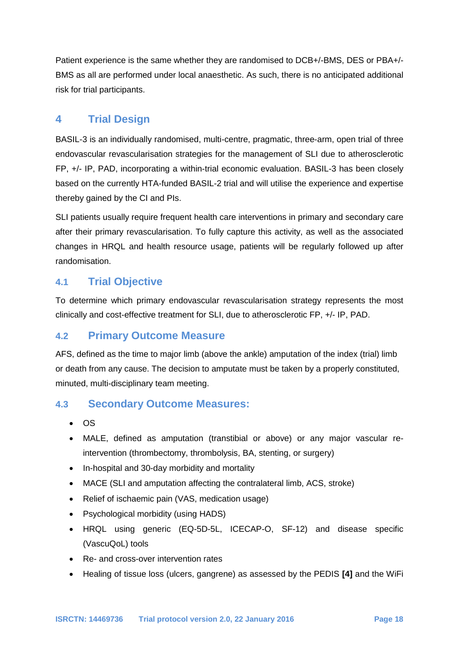Patient experience is the same whether they are randomised to DCB+/-BMS, DES or PBA+/- BMS as all are performed under local anaesthetic. As such, there is no anticipated additional risk for trial participants.

# **4 Trial Design**

BASIL-3 is an individually randomised, multi-centre, pragmatic, three-arm, open trial of three endovascular revascularisation strategies for the management of SLI due to atherosclerotic FP, +/- IP, PAD, incorporating a within-trial economic evaluation. BASIL-3 has been closely based on the currently HTA-funded BASIL-2 trial and will utilise the experience and expertise thereby gained by the CI and PIs.

SLI patients usually require frequent health care interventions in primary and secondary care after their primary revascularisation. To fully capture this activity, as well as the associated changes in HRQL and health resource usage, patients will be regularly followed up after randomisation.

## **4.1 Trial Objective**

To determine which primary endovascular revascularisation strategy represents the most clinically and cost-effective treatment for SLI, due to atherosclerotic FP, +/- IP, PAD.

### **4.2 Primary Outcome Measure**

AFS, defined as the time to major limb (above the ankle) amputation of the index (trial) limb or death from any cause. The decision to amputate must be taken by a properly constituted, minuted, multi-disciplinary team meeting.

### **4.3 Secondary Outcome Measures:**

- $\bullet$  OS
- MALE, defined as amputation (transtibial or above) or any major vascular reintervention (thrombectomy, thrombolysis, BA, stenting, or surgery)
- In-hospital and 30-day morbidity and mortality
- MACE (SLI and amputation affecting the contralateral limb, ACS, stroke)
- Relief of ischaemic pain (VAS, medication usage)
- Psychological morbidity (using HADS)
- HRQL using generic (EQ-5D-5L, ICECAP-O, SF-12) and disease specific (VascuQoL) tools
- Re- and cross-over intervention rates
- Healing of tissue loss (ulcers, gangrene) as assessed by the PEDIS **[4]** and the WiFi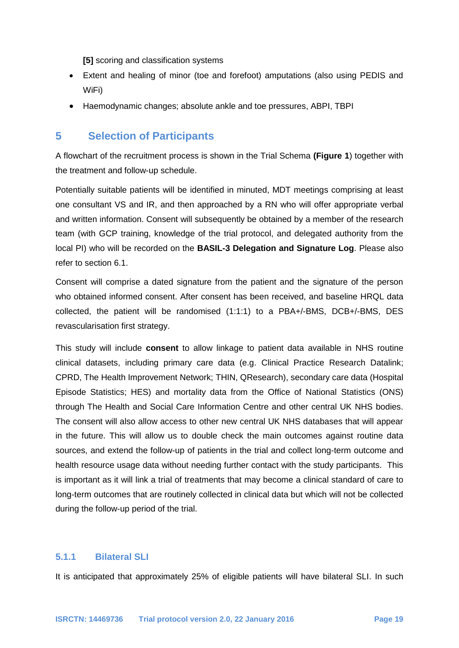**[5]** scoring and classification systems

- Extent and healing of minor (toe and forefoot) amputations (also using PEDIS and WiFi)
- Haemodynamic changes; absolute ankle and toe pressures, ABPI, TBPI

### **5 Selection of Participants**

A flowchart of the recruitment process is shown in the Trial Schema **(Figure 1**) together with the treatment and follow-up schedule.

Potentially suitable patients will be identified in minuted, MDT meetings comprising at least one consultant VS and IR, and then approached by a RN who will offer appropriate verbal and written information. Consent will subsequently be obtained by a member of the research team (with GCP training, knowledge of the trial protocol, and delegated authority from the local PI) who will be recorded on the **BASIL-3 Delegation and Signature Log**. Please also refer to section 6.1.

Consent will comprise a dated signature from the patient and the signature of the person who obtained informed consent. After consent has been received, and baseline HRQL data collected, the patient will be randomised (1:1:1) to a PBA+/-BMS, DCB+/-BMS, DES revascularisation first strategy.

This study will include **consent** to allow linkage to patient data available in NHS routine clinical datasets, including primary care data (e.g. Clinical Practice Research Datalink; CPRD, The Health Improvement Network; THIN, QResearch), secondary care data (Hospital Episode Statistics; HES) and mortality data from the Office of National Statistics (ONS) through The Health and Social Care Information Centre and other central UK NHS bodies. The consent will also allow access to other new central UK NHS databases that will appear in the future. This will allow us to double check the main outcomes against routine data sources, and extend the follow-up of patients in the trial and collect long-term outcome and health resource usage data without needing further contact with the study participants. This is important as it will link a trial of treatments that may become a clinical standard of care to long-term outcomes that are routinely collected in clinical data but which will not be collected during the follow-up period of the trial.

#### **5.1.1 Bilateral SLI**

It is anticipated that approximately 25% of eligible patients will have bilateral SLI. In such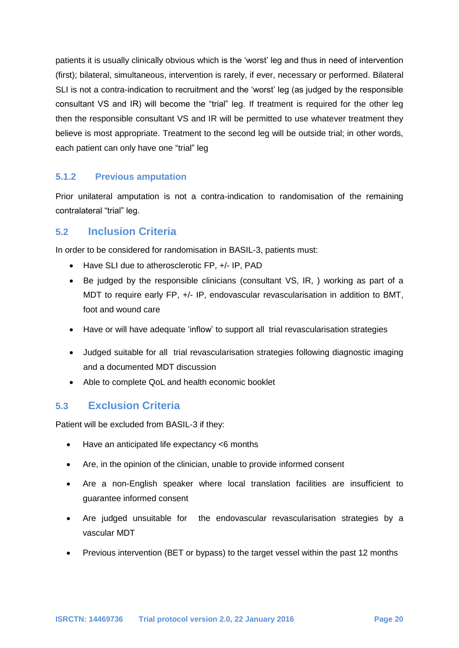patients it is usually clinically obvious which is the 'worst' leg and thus in need of intervention (first); bilateral, simultaneous, intervention is rarely, if ever, necessary or performed. Bilateral SLI is not a contra-indication to recruitment and the 'worst' leg (as judged by the responsible consultant VS and IR) will become the "trial" leg. If treatment is required for the other leg then the responsible consultant VS and IR will be permitted to use whatever treatment they believe is most appropriate. Treatment to the second leg will be outside trial; in other words, each patient can only have one "trial" leg

### **5.1.2 Previous amputation**

Prior unilateral amputation is not a contra-indication to randomisation of the remaining contralateral "trial" leg.

### **5.2 Inclusion Criteria**

In order to be considered for randomisation in BASIL-3, patients must:

- Have SLI due to atherosclerotic FP, +/- IP, PAD
- Be judged by the responsible clinicians (consultant VS, IR, ) working as part of a MDT to require early FP, +/- IP, endovascular revascularisation in addition to BMT, foot and wound care
- Have or will have adequate 'inflow' to support all trial revascularisation strategies
- Judged suitable for all trial revascularisation strategies following diagnostic imaging and a documented MDT discussion
- Able to complete QoL and health economic booklet

# **5.3 Exclusion Criteria**

Patient will be excluded from BASIL-3 if they:

- Have an anticipated life expectancy <6 months
- Are, in the opinion of the clinician, unable to provide informed consent
- Are a non-English speaker where local translation facilities are insufficient to guarantee informed consent
- Are judged unsuitable for the endovascular revascularisation strategies by a vascular MDT
- Previous intervention (BET or bypass) to the target vessel within the past 12 months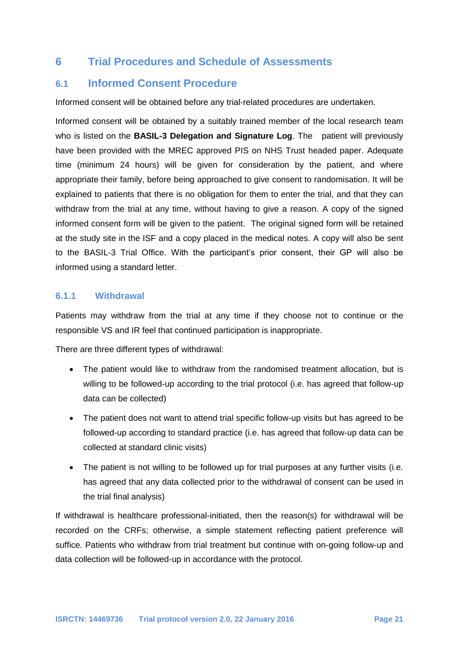# **6 Trial Procedures and Schedule of Assessments**

### **6.1 Informed Consent Procedure**

Informed consent will be obtained before any trial-related procedures are undertaken.

Informed consent will be obtained by a suitably trained member of the local research team who is listed on the **BASIL-3 Delegation and Signature Log**. The patient will previously have been provided with the MREC approved PIS on NHS Trust headed paper. Adequate time (minimum 24 hours) will be given for consideration by the patient, and where appropriate their family, before being approached to give consent to randomisation. It will be explained to patients that there is no obligation for them to enter the trial, and that they can withdraw from the trial at any time, without having to give a reason. A copy of the signed informed consent form will be given to the patient. The original signed form will be retained at the study site in the ISF and a copy placed in the medical notes. A copy will also be sent to the BASIL-3 Trial Office. With the participant's prior consent, their GP will also be informed using a standard letter.

#### **6.1.1 Withdrawal**

Patients may withdraw from the trial at any time if they choose not to continue or the responsible VS and IR feel that continued participation is inappropriate.

There are three different types of withdrawal:

- The patient would like to withdraw from the randomised treatment allocation, but is willing to be followed-up according to the trial protocol (i.e. has agreed that follow-up data can be collected)
- The patient does not want to attend trial specific follow-up visits but has agreed to be followed-up according to standard practice (i.e. has agreed that follow-up data can be collected at standard clinic visits)
- The patient is not willing to be followed up for trial purposes at any further visits (i.e. has agreed that any data collected prior to the withdrawal of consent can be used in the trial final analysis)

If withdrawal is healthcare professional-initiated, then the reason(s) for withdrawal will be recorded on the CRFs; otherwise, a simple statement reflecting patient preference will suffice. Patients who withdraw from trial treatment but continue with on-going follow-up and data collection will be followed-up in accordance with the protocol.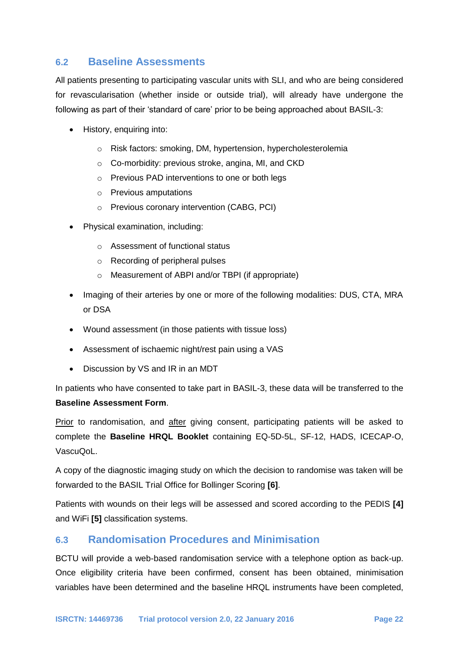### **6.2 Baseline Assessments**

All patients presenting to participating vascular units with SLI, and who are being considered for revascularisation (whether inside or outside trial), will already have undergone the following as part of their 'standard of care' prior to be being approached about BASIL-3:

- History, enquiring into:
	- o Risk factors: smoking, DM, hypertension, hypercholesterolemia
	- o Co-morbidity: previous stroke, angina, MI, and CKD
	- o Previous PAD interventions to one or both legs
	- o Previous amputations
	- o Previous coronary intervention (CABG, PCI)
- Physical examination, including:
	- o Assessment of functional status
	- o Recording of peripheral pulses
	- o Measurement of ABPI and/or TBPI (if appropriate)
- Imaging of their arteries by one or more of the following modalities: DUS, CTA, MRA or DSA
- Wound assessment (in those patients with tissue loss)
- Assessment of ischaemic night/rest pain using a VAS
- Discussion by VS and IR in an MDT

In patients who have consented to take part in BASIL-3, these data will be transferred to the **Baseline Assessment Form**.

Prior to randomisation, and after giving consent, participating patients will be asked to complete the **Baseline HRQL Booklet** containing EQ-5D-5L, SF-12, HADS, ICECAP-O, VascuQoL.

A copy of the diagnostic imaging study on which the decision to randomise was taken will be forwarded to the BASIL Trial Office for Bollinger Scoring **[6]**.

Patients with wounds on their legs will be assessed and scored according to the PEDIS **[4]**  and WiFi **[5]** classification systems.

### **6.3 Randomisation Procedures and Minimisation**

BCTU will provide a web-based randomisation service with a telephone option as back-up. Once eligibility criteria have been confirmed, consent has been obtained, minimisation variables have been determined and the baseline HRQL instruments have been completed,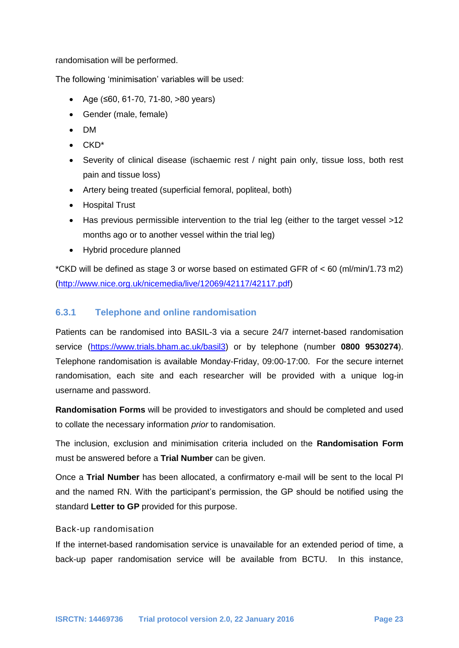randomisation will be performed.

The following 'minimisation' variables will be used:

- $\bullet$  Age (≤60, 61-70, 71-80, >80 years)
- Gender (male, female)
- DM
- CKD\*
- Severity of clinical disease (ischaemic rest / night pain only, tissue loss, both rest pain and tissue loss)
- Artery being treated (superficial femoral, popliteal, both)
- Hospital Trust
- Has previous permissible intervention to the trial leg (either to the target vessel >12 months ago or to another vessel within the trial leg)
- Hybrid procedure planned

\*CKD will be defined as stage 3 or worse based on estimated GFR of < 60 (ml/min/1.73 m2) [\(http://www.nice.org.uk/nicemedia/live/12069/42117/42117.pdf\)](http://www.nice.org.uk/nicemedia/live/12069/42117/42117.pdf)

#### **6.3.1 Telephone and online randomisation**

Patients can be randomised into BASIL-3 via a secure 24/7 internet-based randomisation service (https://www.trials.bham.ac.uk/basil3) or by telephone (number **0800 9530274**). Telephone randomisation is available Monday-Friday, 09:00-17:00. For the secure internet randomisation, each site and each researcher will be provided with a unique log-in username and password.

**Randomisation Forms** will be provided to investigators and should be completed and used to collate the necessary information *prior* to randomisation.

The inclusion, exclusion and minimisation criteria included on the **Randomisation Form** must be answered before a **Trial Number** can be given.

Once a **Trial Number** has been allocated, a confirmatory e-mail will be sent to the local PI and the named RN. With the participant's permission, the GP should be notified using the standard **Letter to GP** provided for this purpose.

#### Back-up randomisation

If the internet-based randomisation service is unavailable for an extended period of time, a back-up paper randomisation service will be available from BCTU. In this instance,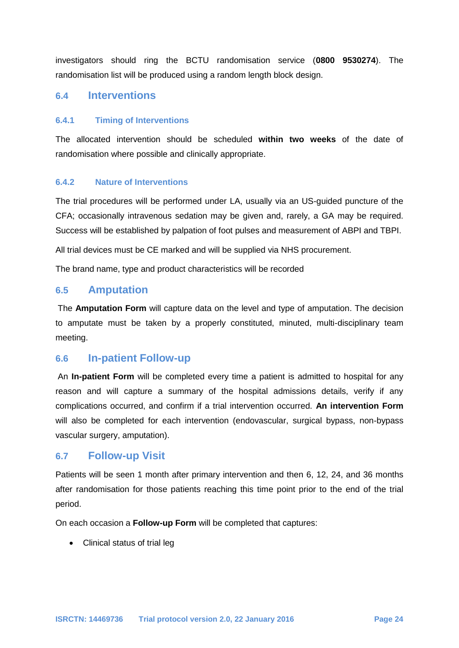investigators should ring the BCTU randomisation service (**0800 9530274**). The randomisation list will be produced using a random length block design.

### **6.4 Interventions**

#### **6.4.1 Timing of Interventions**

The allocated intervention should be scheduled **within two weeks** of the date of randomisation where possible and clinically appropriate.

#### **6.4.2 Nature of Interventions**

The trial procedures will be performed under LA, usually via an US-guided puncture of the CFA; occasionally intravenous sedation may be given and, rarely, a GA may be required. Success will be established by palpation of foot pulses and measurement of ABPI and TBPI.

All trial devices must be CE marked and will be supplied via NHS procurement.

The brand name, type and product characteristics will be recorded

### **6.5 Amputation**

The **Amputation Form** will capture data on the level and type of amputation. The decision to amputate must be taken by a properly constituted, minuted, multi-disciplinary team meeting.

#### **6.6 In-patient Follow-up**

An **In-patient Form** will be completed every time a patient is admitted to hospital for any reason and will capture a summary of the hospital admissions details, verify if any complications occurred, and confirm if a trial intervention occurred. **An intervention Form** will also be completed for each intervention (endovascular, surgical bypass, non-bypass vascular surgery, amputation).

#### **6.7 Follow-up Visit**

Patients will be seen 1 month after primary intervention and then 6, 12, 24, and 36 months after randomisation for those patients reaching this time point prior to the end of the trial period.

On each occasion a **Follow-up Form** will be completed that captures:

• Clinical status of trial leg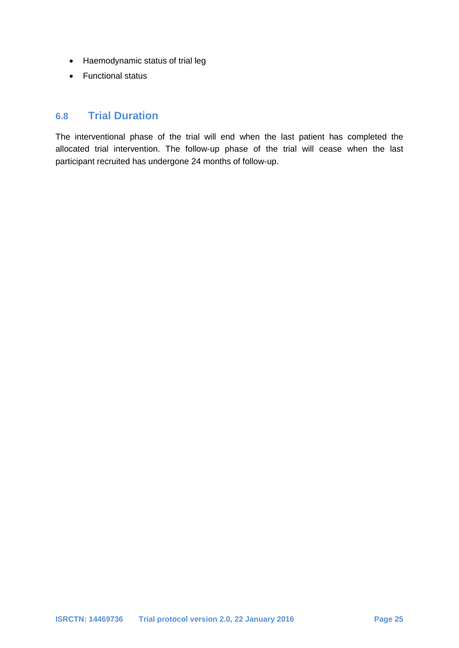- Haemodynamic status of trial leg
- Functional status

# **6.8 Trial Duration**

The interventional phase of the trial will end when the last patient has completed the allocated trial intervention. The follow-up phase of the trial will cease when the last participant recruited has undergone 24 months of follow-up.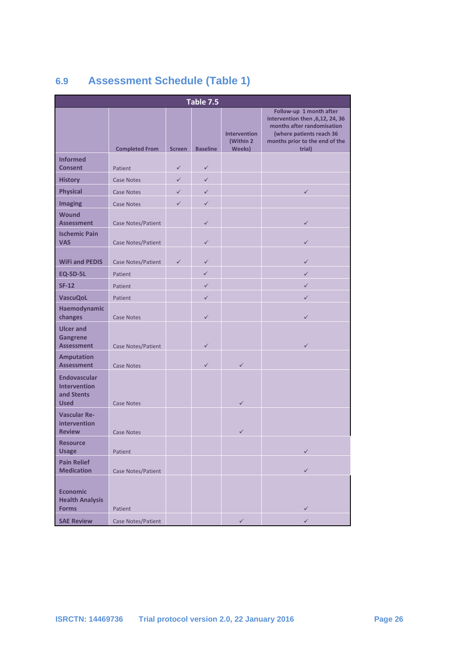# **6.9 Assessment Schedule (Table 1)**

| Table 7.5                                                               |                       |               |                 |                                     |                                                                                                                                                                    |  |  |
|-------------------------------------------------------------------------|-----------------------|---------------|-----------------|-------------------------------------|--------------------------------------------------------------------------------------------------------------------------------------------------------------------|--|--|
|                                                                         | <b>Completed From</b> | <b>Screen</b> | <b>Baseline</b> | Intervention<br>(Within 2<br>Weeks) | Follow-up 1 month after<br>intervention then , 6, 12, 24, 36<br>months after randomisation<br>(where patients reach 36<br>months prior to the end of the<br>trial) |  |  |
| <b>Informed</b>                                                         |                       |               |                 |                                     |                                                                                                                                                                    |  |  |
| <b>Consent</b>                                                          | Patient               | $\checkmark$  | $\checkmark$    |                                     |                                                                                                                                                                    |  |  |
| <b>History</b>                                                          | <b>Case Notes</b>     | $\checkmark$  | $\checkmark$    |                                     |                                                                                                                                                                    |  |  |
| <b>Physical</b>                                                         | <b>Case Notes</b>     | $\checkmark$  | $\checkmark$    |                                     | $\checkmark$                                                                                                                                                       |  |  |
| <b>Imaging</b><br><b>Wound</b>                                          | <b>Case Notes</b>     | $\checkmark$  | $\checkmark$    |                                     |                                                                                                                                                                    |  |  |
| <b>Assessment</b>                                                       | Case Notes/Patient    |               | $\checkmark$    |                                     | $\checkmark$                                                                                                                                                       |  |  |
| <b>Ischemic Pain</b><br><b>VAS</b>                                      | Case Notes/Patient    |               | $\checkmark$    |                                     | $\checkmark$                                                                                                                                                       |  |  |
| <b>WiFi and PEDIS</b>                                                   | Case Notes/Patient    | $\checkmark$  | $\checkmark$    |                                     | $\checkmark$                                                                                                                                                       |  |  |
| <b>EQ-5D-5L</b>                                                         | Patient               |               | $\checkmark$    |                                     | $\checkmark$                                                                                                                                                       |  |  |
| <b>SF-12</b>                                                            | Patient               |               | $\checkmark$    |                                     | $\checkmark$                                                                                                                                                       |  |  |
| <b>VascuQoL</b>                                                         | Patient               |               | $\checkmark$    |                                     | $\checkmark$                                                                                                                                                       |  |  |
| Haemodynamic<br>changes                                                 | <b>Case Notes</b>     |               | $\checkmark$    |                                     | $\checkmark$                                                                                                                                                       |  |  |
| <b>Ulcer and</b><br><b>Gangrene</b><br><b>Assessment</b>                | Case Notes/Patient    |               | $\checkmark$    |                                     | $\checkmark$                                                                                                                                                       |  |  |
| <b>Amputation</b><br><b>Assessment</b>                                  | <b>Case Notes</b>     |               | $\checkmark$    | $\checkmark$                        |                                                                                                                                                                    |  |  |
| <b>Endovascular</b><br><b>Intervention</b><br>and Stents<br><b>Used</b> | Case Notes            |               |                 | $\checkmark$                        |                                                                                                                                                                    |  |  |
| <b>Vascular Re-</b><br>intervention<br><b>Review</b>                    | <b>Case Notes</b>     |               |                 | $\checkmark$                        |                                                                                                                                                                    |  |  |
| <b>Resource</b><br><b>Usage</b>                                         | Patient               |               |                 |                                     | $\checkmark$                                                                                                                                                       |  |  |
| <b>Pain Relief</b><br><b>Medication</b>                                 | Case Notes/Patient    |               |                 |                                     | $\checkmark$                                                                                                                                                       |  |  |
| <b>Economic</b><br><b>Health Analysis</b><br><b>Forms</b>               | Patient               |               |                 |                                     | $\checkmark$                                                                                                                                                       |  |  |
| <b>SAE Review</b>                                                       | Case Notes/Patient    |               |                 | $\checkmark$                        | $\checkmark$                                                                                                                                                       |  |  |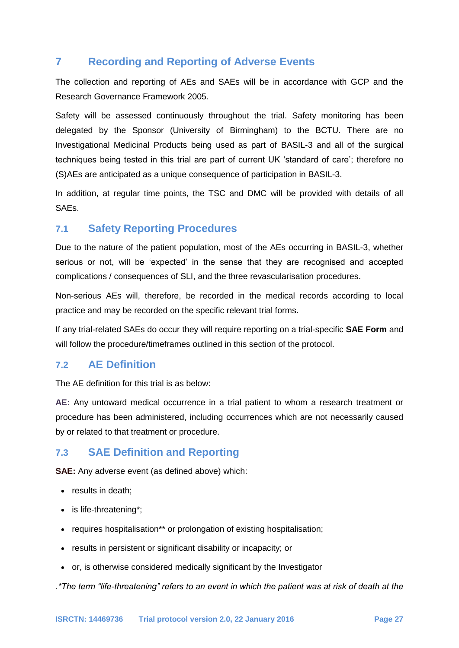# **7 Recording and Reporting of Adverse Events**

The collection and reporting of AEs and SAEs will be in accordance with GCP and the Research Governance Framework 2005.

Safety will be assessed continuously throughout the trial. Safety monitoring has been delegated by the Sponsor (University of Birmingham) to the BCTU. There are no Investigational Medicinal Products being used as part of BASIL-3 and all of the surgical techniques being tested in this trial are part of current UK 'standard of care'; therefore no (S)AEs are anticipated as a unique consequence of participation in BASIL-3.

In addition, at regular time points, the TSC and DMC will be provided with details of all SAEs.

# **7.1 Safety Reporting Procedures**

Due to the nature of the patient population, most of the AEs occurring in BASIL-3, whether serious or not, will be 'expected' in the sense that they are recognised and accepted complications / consequences of SLI, and the three revascularisation procedures.

Non-serious AEs will, therefore, be recorded in the medical records according to local practice and may be recorded on the specific relevant trial forms.

If any trial-related SAEs do occur they will require reporting on a trial-specific **SAE Form** and will follow the procedure/timeframes outlined in this section of the protocol.

### **7.2 AE Definition**

The AE definition for this trial is as below:

**AE:** Any untoward medical occurrence in a trial patient to whom a research treatment or procedure has been administered, including occurrences which are not necessarily caused by or related to that treatment or procedure.

# **7.3 SAE Definition and Reporting**

**SAE:** Any adverse event (as defined above) which:

- results in death;
- is life-threatening\*;
- requires hospitalisation\*\* or prolongation of existing hospitalisation;
- results in persistent or significant disability or incapacity; or
- or, is otherwise considered medically significant by the Investigator

.*\*The term "life-threatening" refers to an event in which the patient was at risk of death at the*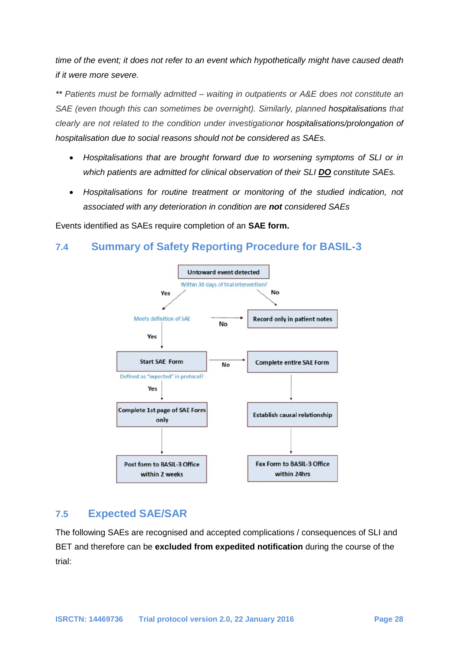*time of the event; it does not refer to an event which hypothetically might have caused death if it were more severe.*

*\*\* Patients must be formally admitted – waiting in outpatients or A&E does not constitute an SAE (even though this can sometimes be overnight). Similarly, planned hospitalisations that clearly are not related to the condition under investigationor hospitalisations/prolongation of hospitalisation due to social reasons should not be considered as SAEs.*

- *Hospitalisations that are brought forward due to worsening symptoms of SLI or in which patients are admitted for clinical observation of their SLI DO constitute SAEs.*
- *Hospitalisations for routine treatment or monitoring of the studied indication, not associated with any deterioration in condition are not considered SAEs*

Events identified as SAEs require completion of an **SAE form.**

# **7.4 Summary of Safety Reporting Procedure for BASIL-3**



### **7.5 Expected SAE/SAR**

The following SAEs are recognised and accepted complications / consequences of SLI and BET and therefore can be **excluded from expedited notification** during the course of the trial: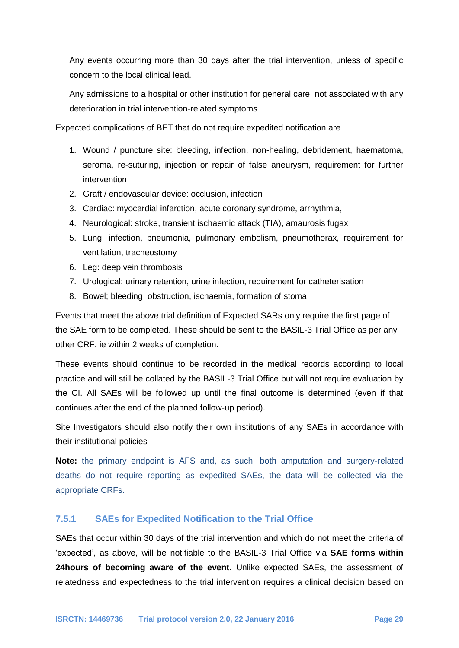Any events occurring more than 30 days after the trial intervention, unless of specific concern to the local clinical lead.

Any admissions to a hospital or other institution for general care, not associated with any deterioration in trial intervention-related symptoms

Expected complications of BET that do not require expedited notification are

- 1. Wound / puncture site: bleeding, infection, non-healing, debridement, haematoma, seroma, re-suturing, injection or repair of false aneurysm, requirement for further intervention
- 2. Graft / endovascular device: occlusion, infection
- 3. Cardiac: myocardial infarction, acute coronary syndrome, arrhythmia,
- 4. Neurological: stroke, transient ischaemic attack (TIA), amaurosis fugax
- 5. Lung: infection, pneumonia, pulmonary embolism, pneumothorax, requirement for ventilation, tracheostomy
- 6. Leg: deep vein thrombosis
- 7. Urological: urinary retention, urine infection, requirement for catheterisation
- 8. Bowel; bleeding, obstruction, ischaemia, formation of stoma

Events that meet the above trial definition of Expected SARs only require the first page of the SAE form to be completed. These should be sent to the BASIL-3 Trial Office as per any other CRF. ie within 2 weeks of completion.

These events should continue to be recorded in the medical records according to local practice and will still be collated by the BASIL-3 Trial Office but will not require evaluation by the CI. All SAEs will be followed up until the final outcome is determined (even if that continues after the end of the planned follow-up period).

Site Investigators should also notify their own institutions of any SAEs in accordance with their institutional policies

**Note:** the primary endpoint is AFS and, as such, both amputation and surgery-related deaths do not require reporting as expedited SAEs, the data will be collected via the appropriate CRFs.

#### **7.5.1 SAEs for Expedited Notification to the Trial Office**

SAEs that occur within 30 days of the trial intervention and which do not meet the criteria of 'expected', as above, will be notifiable to the BASIL-3 Trial Office via **SAE forms within 24hours of becoming aware of the event**. Unlike expected SAEs, the assessment of relatedness and expectedness to the trial intervention requires a clinical decision based on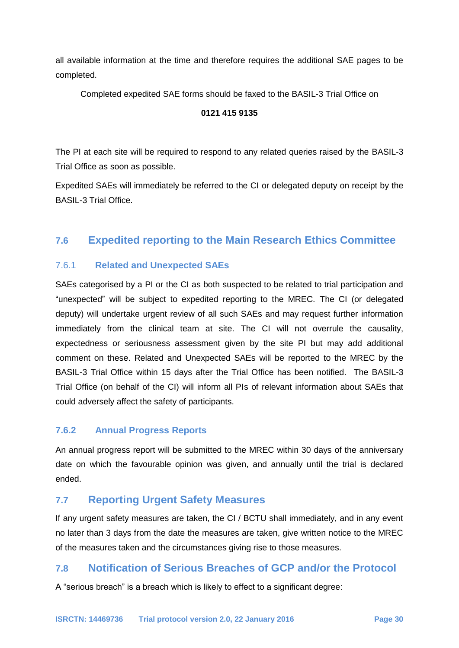all available information at the time and therefore requires the additional SAE pages to be completed.

Completed expedited SAE forms should be faxed to the BASIL-3 Trial Office on

#### **0121 415 9135**

The PI at each site will be required to respond to any related queries raised by the BASIL-3 Trial Office as soon as possible.

Expedited SAEs will immediately be referred to the CI or delegated deputy on receipt by the BASIL-3 Trial Office.

# **7.6 Expedited reporting to the Main Research Ethics Committee**

### 7.6.1 **Related and Unexpected SAEs**

SAEs categorised by a PI or the CI as both suspected to be related to trial participation and "unexpected" will be subject to expedited reporting to the MREC. The CI (or delegated deputy) will undertake urgent review of all such SAEs and may request further information immediately from the clinical team at site. The CI will not overrule the causality, expectedness or seriousness assessment given by the site PI but may add additional comment on these. Related and Unexpected SAEs will be reported to the MREC by the BASIL-3 Trial Office within 15 days after the Trial Office has been notified. The BASIL-3 Trial Office (on behalf of the CI) will inform all PIs of relevant information about SAEs that could adversely affect the safety of participants.

#### **7.6.2 Annual Progress Reports**

An annual progress report will be submitted to the MREC within 30 days of the anniversary date on which the favourable opinion was given, and annually until the trial is declared ended.

# **7.7 Reporting Urgent Safety Measures**

If any urgent safety measures are taken, the CI / BCTU shall immediately, and in any event no later than 3 days from the date the measures are taken, give written notice to the MREC of the measures taken and the circumstances giving rise to those measures.

### **7.8 Notification of Serious Breaches of GCP and/or the Protocol**

A "serious breach" is a breach which is likely to effect to a significant degree: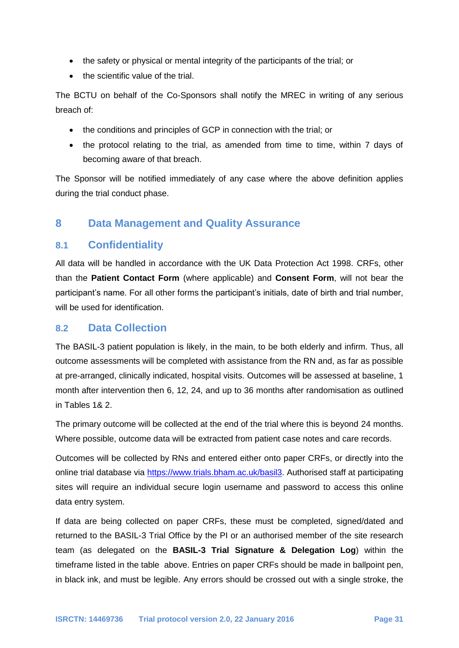- the safety or physical or mental integrity of the participants of the trial; or
- $\bullet$  the scientific value of the trial.

The BCTU on behalf of the Co-Sponsors shall notify the MREC in writing of any serious breach of:

- the conditions and principles of GCP in connection with the trial; or
- the protocol relating to the trial, as amended from time to time, within 7 days of becoming aware of that breach.

The Sponsor will be notified immediately of any case where the above definition applies during the trial conduct phase.

# **8 Data Management and Quality Assurance**

## **8.1 Confidentiality**

All data will be handled in accordance with the UK Data Protection Act 1998. CRFs, other than the **Patient Contact Form** (where applicable) and **Consent Form**, will not bear the participant's name. For all other forms the participant's initials, date of birth and trial number, will be used for identification.

### **8.2 Data Collection**

The BASIL-3 patient population is likely, in the main, to be both elderly and infirm. Thus, all outcome assessments will be completed with assistance from the RN and, as far as possible at pre-arranged, clinically indicated, hospital visits. Outcomes will be assessed at baseline, 1 month after intervention then 6, 12, 24, and up to 36 months after randomisation as outlined in Tables 1& 2.

The primary outcome will be collected at the end of the trial where this is beyond 24 months. Where possible, outcome data will be extracted from patient case notes and care records.

Outcomes will be collected by RNs and entered either onto paper CRFs, or directly into the online trial database via [https://www.trials.bham.ac.uk/basil3.](https://www.trials.bham.ac.uk/basil3) Authorised staff at participating sites will require an individual secure login username and password to access this online data entry system.

If data are being collected on paper CRFs, these must be completed, signed/dated and returned to the BASIL-3 Trial Office by the PI or an authorised member of the site research team (as delegated on the **BASIL-3 Trial Signature & Delegation Log**) within the timeframe listed in the table above. Entries on paper CRFs should be made in ballpoint pen, in black ink, and must be legible. Any errors should be crossed out with a single stroke, the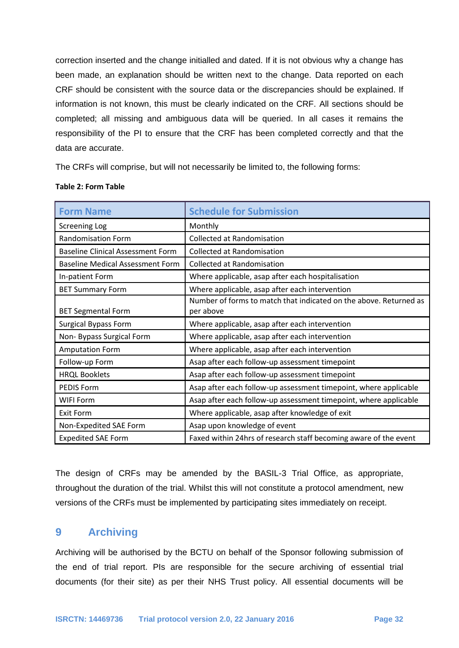correction inserted and the change initialled and dated. If it is not obvious why a change has been made, an explanation should be written next to the change. Data reported on each CRF should be consistent with the source data or the discrepancies should be explained. If information is not known, this must be clearly indicated on the CRF. All sections should be completed; all missing and ambiguous data will be queried. In all cases it remains the responsibility of the PI to ensure that the CRF has been completed correctly and that the data are accurate.

The CRFs will comprise, but will not necessarily be limited to, the following forms:

| <b>Form Name</b>                         | <b>Schedule for Submission</b>                                                 |  |  |
|------------------------------------------|--------------------------------------------------------------------------------|--|--|
| <b>Screening Log</b>                     | Monthly                                                                        |  |  |
| <b>Randomisation Form</b>                | <b>Collected at Randomisation</b>                                              |  |  |
| <b>Baseline Clinical Assessment Form</b> | <b>Collected at Randomisation</b>                                              |  |  |
| <b>Baseline Medical Assessment Form</b>  | <b>Collected at Randomisation</b>                                              |  |  |
| In-patient Form                          | Where applicable, asap after each hospitalisation                              |  |  |
| <b>BET Summary Form</b>                  | Where applicable, asap after each intervention                                 |  |  |
| <b>BET Segmental Form</b>                | Number of forms to match that indicated on the above. Returned as<br>per above |  |  |
| <b>Surgical Bypass Form</b>              | Where applicable, asap after each intervention                                 |  |  |
| Non-Bypass Surgical Form                 | Where applicable, asap after each intervention                                 |  |  |
| <b>Amputation Form</b>                   | Where applicable, asap after each intervention                                 |  |  |
| Follow-up Form                           | Asap after each follow-up assessment timepoint                                 |  |  |
| <b>HRQL Booklets</b>                     | Asap after each follow-up assessment timepoint                                 |  |  |
| PEDIS Form                               | Asap after each follow-up assessment timepoint, where applicable               |  |  |
| <b>WIFI Form</b>                         | Asap after each follow-up assessment timepoint, where applicable               |  |  |
| Exit Form                                | Where applicable, asap after knowledge of exit                                 |  |  |
| Non-Expedited SAE Form                   | Asap upon knowledge of event                                                   |  |  |
| <b>Expedited SAE Form</b>                | Faxed within 24hrs of research staff becoming aware of the event               |  |  |

#### **Table 2: Form Table**

The design of CRFs may be amended by the BASIL-3 Trial Office, as appropriate, throughout the duration of the trial. Whilst this will not constitute a protocol amendment, new versions of the CRFs must be implemented by participating sites immediately on receipt.

# **9 Archiving**

Archiving will be authorised by the BCTU on behalf of the Sponsor following submission of the end of trial report. PIs are responsible for the secure archiving of essential trial documents (for their site) as per their NHS Trust policy. All essential documents will be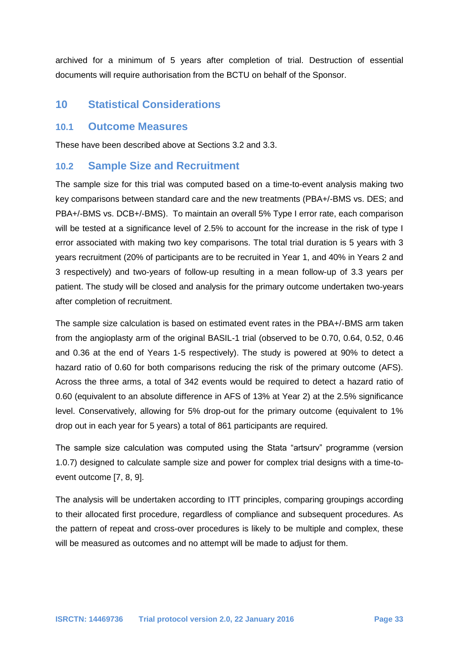archived for a minimum of 5 years after completion of trial. Destruction of essential documents will require authorisation from the BCTU on behalf of the Sponsor.

# **10 Statistical Considerations**

#### **10.1 Outcome Measures**

These have been described above at Sections 3.2 and 3.3.

### **10.2 Sample Size and Recruitment**

The sample size for this trial was computed based on a time-to-event analysis making two key comparisons between standard care and the new treatments (PBA+/-BMS vs. DES; and PBA+/-BMS vs. DCB+/-BMS). To maintain an overall 5% Type I error rate, each comparison will be tested at a significance level of 2.5% to account for the increase in the risk of type I error associated with making two key comparisons. The total trial duration is 5 years with 3 years recruitment (20% of participants are to be recruited in Year 1, and 40% in Years 2 and 3 respectively) and two-years of follow-up resulting in a mean follow-up of 3.3 years per patient. The study will be closed and analysis for the primary outcome undertaken two-years after completion of recruitment.

The sample size calculation is based on estimated event rates in the PBA+/-BMS arm taken from the angioplasty arm of the original BASIL-1 trial (observed to be 0.70, 0.64, 0.52, 0.46 and 0.36 at the end of Years 1-5 respectively). The study is powered at 90% to detect a hazard ratio of 0.60 for both comparisons reducing the risk of the primary outcome (AFS). Across the three arms, a total of 342 events would be required to detect a hazard ratio of 0.60 (equivalent to an absolute difference in AFS of 13% at Year 2) at the 2.5% significance level. Conservatively, allowing for 5% drop-out for the primary outcome (equivalent to 1% drop out in each year for 5 years) a total of 861 participants are required.

The sample size calculation was computed using the Stata "artsurv" programme (version 1.0.7) designed to calculate sample size and power for complex trial designs with a time-toevent outcome [7, 8, 9].

The analysis will be undertaken according to ITT principles, comparing groupings according to their allocated first procedure, regardless of compliance and subsequent procedures. As the pattern of repeat and cross-over procedures is likely to be multiple and complex, these will be measured as outcomes and no attempt will be made to adjust for them.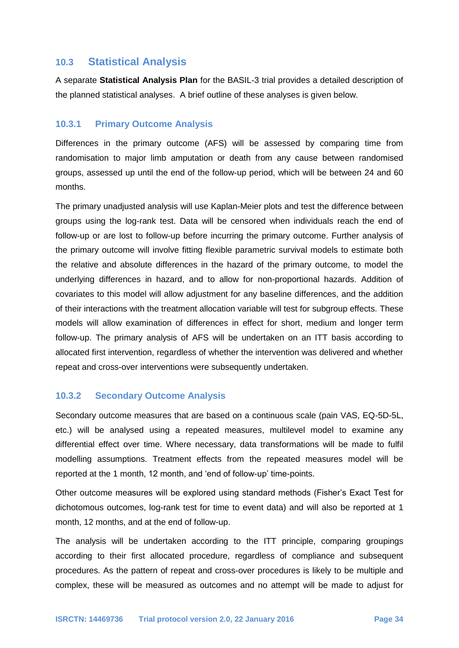### **10.3 Statistical Analysis**

A separate **Statistical Analysis Plan** for the BASIL-3 trial provides a detailed description of the planned statistical analyses. A brief outline of these analyses is given below.

#### **10.3.1 Primary Outcome Analysis**

Differences in the primary outcome (AFS) will be assessed by comparing time from randomisation to major limb amputation or death from any cause between randomised groups, assessed up until the end of the follow-up period, which will be between 24 and 60 months.

The primary unadjusted analysis will use Kaplan-Meier plots and test the difference between groups using the log-rank test. Data will be censored when individuals reach the end of follow-up or are lost to follow-up before incurring the primary outcome. Further analysis of the primary outcome will involve fitting flexible parametric survival models to estimate both the relative and absolute differences in the hazard of the primary outcome, to model the underlying differences in hazard, and to allow for non-proportional hazards. Addition of covariates to this model will allow adjustment for any baseline differences, and the addition of their interactions with the treatment allocation variable will test for subgroup effects. These models will allow examination of differences in effect for short, medium and longer term follow-up. The primary analysis of AFS will be undertaken on an ITT basis according to allocated first intervention, regardless of whether the intervention was delivered and whether repeat and cross-over interventions were subsequently undertaken.

#### **10.3.2 Secondary Outcome Analysis**

Secondary outcome measures that are based on a continuous scale (pain VAS, EQ-5D-5L, etc.) will be analysed using a repeated measures, multilevel model to examine any differential effect over time. Where necessary, data transformations will be made to fulfil modelling assumptions. Treatment effects from the repeated measures model will be reported at the 1 month, 12 month, and 'end of follow-up' time-points.

Other outcome measures will be explored using standard methods (Fisher's Exact Test for dichotomous outcomes, log-rank test for time to event data) and will also be reported at 1 month, 12 months, and at the end of follow-up.

The analysis will be undertaken according to the ITT principle, comparing groupings according to their first allocated procedure, regardless of compliance and subsequent procedures. As the pattern of repeat and cross-over procedures is likely to be multiple and complex, these will be measured as outcomes and no attempt will be made to adjust for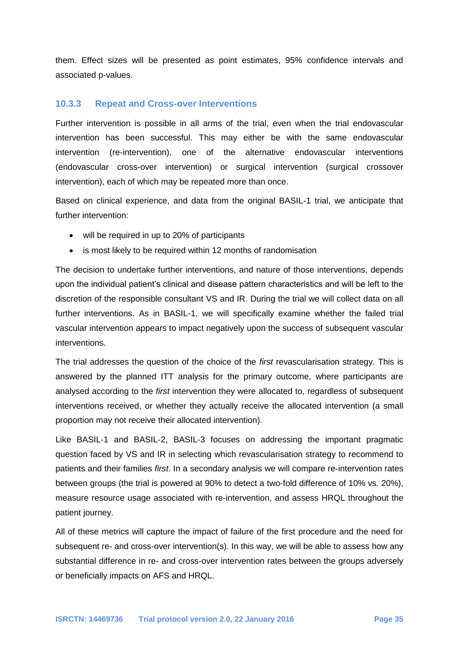them. Effect sizes will be presented as point estimates, 95% confidence intervals and associated p-values.

#### **10.3.3 Repeat and Cross-over Interventions**

Further intervention is possible in all arms of the trial, even when the trial endovascular intervention has been successful. This may either be with the same endovascular intervention (re-intervention), one of the alternative endovascular interventions (endovascular cross-over intervention) or surgical intervention (surgical crossover intervention), each of which may be repeated more than once.

Based on clinical experience, and data from the original BASIL-1 trial, we anticipate that further intervention:

- will be required in up to 20% of participants
- is most likely to be required within 12 months of randomisation

The decision to undertake further interventions, and nature of those interventions, depends upon the individual patient's clinical and disease pattern characteristics and will be left to the discretion of the responsible consultant VS and IR. During the trial we will collect data on all further interventions. As in BASIL-1, we will specifically examine whether the failed trial vascular intervention appears to impact negatively upon the success of subsequent vascular interventions.

The trial addresses the question of the choice of the *first* revascularisation strategy. This is answered by the planned ITT analysis for the primary outcome, where participants are analysed according to the *first* intervention they were allocated to, regardless of subsequent interventions received, or whether they actually receive the allocated intervention (a small proportion may not receive their allocated intervention).

Like BASIL-1 and BASIL-2, BASIL-3 focuses on addressing the important pragmatic question faced by VS and IR in selecting which revascularisation strategy to recommend to patients and their families *first*. In a secondary analysis we will compare re-intervention rates between groups (the trial is powered at 90% to detect a two-fold difference of 10% vs. 20%), measure resource usage associated with re-intervention, and assess HRQL throughout the patient journey.

All of these metrics will capture the impact of failure of the first procedure and the need for subsequent re- and cross-over intervention(s). In this way, we will be able to assess how any substantial difference in re- and cross-over intervention rates between the groups adversely or beneficially impacts on AFS and HRQL.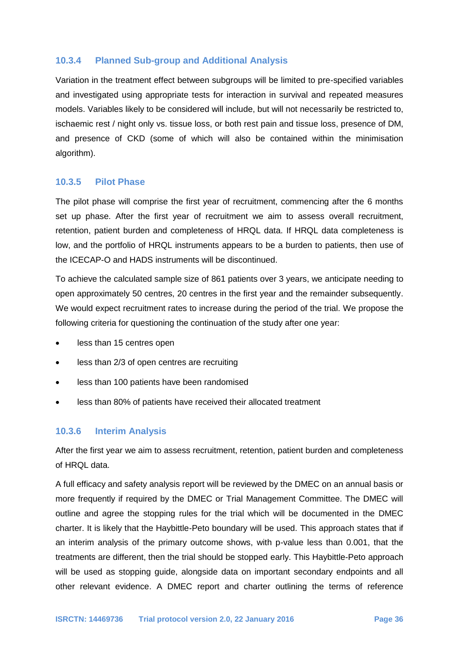#### **10.3.4 Planned Sub-group and Additional Analysis**

Variation in the treatment effect between subgroups will be limited to pre-specified variables and investigated using appropriate tests for interaction in survival and repeated measures models. Variables likely to be considered will include, but will not necessarily be restricted to, ischaemic rest / night only vs. tissue loss, or both rest pain and tissue loss, presence of DM, and presence of CKD (some of which will also be contained within the minimisation algorithm).

#### **10.3.5 Pilot Phase**

The pilot phase will comprise the first year of recruitment, commencing after the 6 months set up phase. After the first year of recruitment we aim to assess overall recruitment, retention, patient burden and completeness of HRQL data. If HRQL data completeness is low, and the portfolio of HRQL instruments appears to be a burden to patients, then use of the ICECAP-O and HADS instruments will be discontinued.

To achieve the calculated sample size of 861 patients over 3 years, we anticipate needing to open approximately 50 centres, 20 centres in the first year and the remainder subsequently. We would expect recruitment rates to increase during the period of the trial. We propose the following criteria for questioning the continuation of the study after one year:

- less than 15 centres open
- less than 2/3 of open centres are recruiting
- less than 100 patients have been randomised
- less than 80% of patients have received their allocated treatment

#### **10.3.6 Interim Analysis**

After the first year we aim to assess recruitment, retention, patient burden and completeness of HRQL data.

A full efficacy and safety analysis report will be reviewed by the DMEC on an annual basis or more frequently if required by the DMEC or Trial Management Committee. The DMEC will outline and agree the stopping rules for the trial which will be documented in the DMEC charter. It is likely that the Haybittle-Peto boundary will be used. This approach states that if an interim analysis of the primary outcome shows, with p-value less than 0.001, that the treatments are different, then the trial should be stopped early. This Haybittle-Peto approach will be used as stopping guide, alongside data on important secondary endpoints and all other relevant evidence. A DMEC report and charter outlining the terms of reference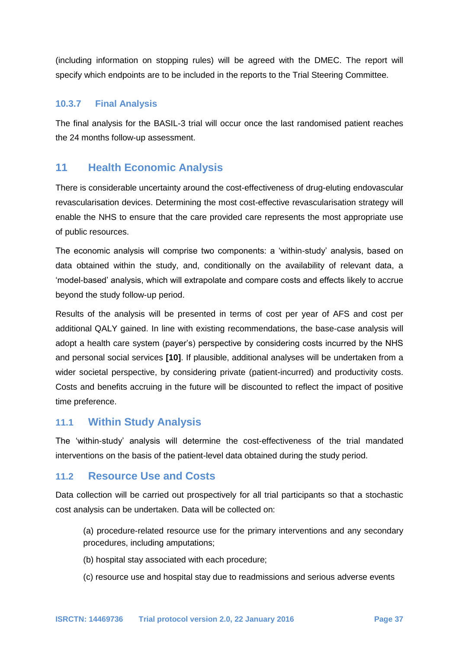(including information on stopping rules) will be agreed with the DMEC. The report will specify which endpoints are to be included in the reports to the Trial Steering Committee.

### **10.3.7 Final Analysis**

The final analysis for the BASIL-3 trial will occur once the last randomised patient reaches the 24 months follow-up assessment.

# **11 Health Economic Analysis**

There is considerable uncertainty around the cost-effectiveness of drug-eluting endovascular revascularisation devices. Determining the most cost-effective revascularisation strategy will enable the NHS to ensure that the care provided care represents the most appropriate use of public resources.

The economic analysis will comprise two components: a 'within-study' analysis, based on data obtained within the study, and, conditionally on the availability of relevant data, a 'model-based' analysis, which will extrapolate and compare costs and effects likely to accrue beyond the study follow-up period.

Results of the analysis will be presented in terms of cost per year of AFS and cost per additional QALY gained. In line with existing recommendations, the base-case analysis will adopt a health care system (payer's) perspective by considering costs incurred by the NHS and personal social services **[10]**. If plausible, additional analyses will be undertaken from a wider societal perspective, by considering private (patient-incurred) and productivity costs. Costs and benefits accruing in the future will be discounted to reflect the impact of positive time preference.

### **11.1 Within Study Analysis**

The 'within-study' analysis will determine the cost-effectiveness of the trial mandated interventions on the basis of the patient-level data obtained during the study period.

### **11.2 Resource Use and Costs**

Data collection will be carried out prospectively for all trial participants so that a stochastic cost analysis can be undertaken. Data will be collected on:

(a) procedure-related resource use for the primary interventions and any secondary procedures, including amputations;

- (b) hospital stay associated with each procedure;
- (c) resource use and hospital stay due to readmissions and serious adverse events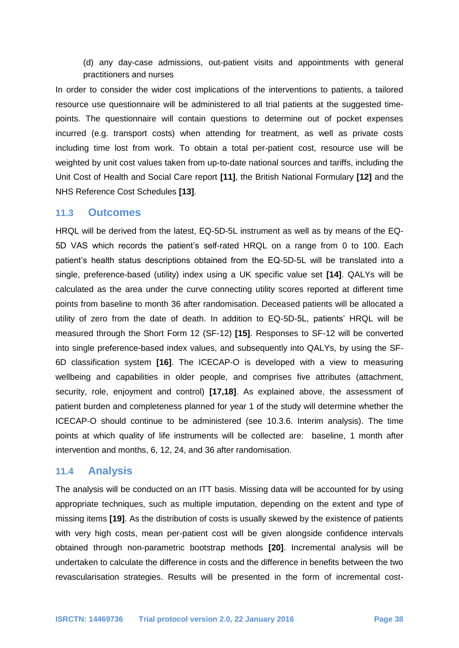(d) any day-case admissions, out-patient visits and appointments with general practitioners and nurses

In order to consider the wider cost implications of the interventions to patients, a tailored resource use questionnaire will be administered to all trial patients at the suggested timepoints. The questionnaire will contain questions to determine out of pocket expenses incurred (e.g. transport costs) when attending for treatment, as well as private costs including time lost from work. To obtain a total per-patient cost, resource use will be weighted by unit cost values taken from up-to-date national sources and tariffs, including the Unit Cost of Health and Social Care report **[11]**, the British National Formulary **[12]** and the NHS Reference Cost Schedules **[13]**.

#### **11.3 Outcomes**

HRQL will be derived from the latest, EQ-5D-5L instrument as well as by means of the EQ-5D VAS which records the patient's self-rated HRQL on a range from 0 to 100. Each patient's health status descriptions obtained from the EQ-5D-5L will be translated into a single, preference-based (utility) index using a UK specific value set **[14]**. QALYs will be calculated as the area under the curve connecting utility scores reported at different time points from baseline to month 36 after randomisation. Deceased patients will be allocated a utility of zero from the date of death. In addition to EQ-5D-5L, patients' HRQL will be measured through the Short Form 12 (SF-12) **[15]**. Responses to SF-12 will be converted into single preference-based index values, and subsequently into QALYs, by using the SF-6D classification system **[16]**. The ICECAP-O is developed with a view to measuring wellbeing and capabilities in older people, and comprises five attributes (attachment, security, role, enjoyment and control) **[17,18]**. As explained above, the assessment of patient burden and completeness planned for year 1 of the study will determine whether the ICECAP-O should continue to be administered (see 10.3.6. Interim analysis). The time points at which quality of life instruments will be collected are: baseline, 1 month after intervention and months, 6, 12, 24, and 36 after randomisation.

#### **11.4 Analysis**

The analysis will be conducted on an ITT basis. Missing data will be accounted for by using appropriate techniques, such as multiple imputation, depending on the extent and type of missing items **[19]**. As the distribution of costs is usually skewed by the existence of patients with very high costs, mean per-patient cost will be given alongside confidence intervals obtained through non-parametric bootstrap methods **[20]**. Incremental analysis will be undertaken to calculate the difference in costs and the difference in benefits between the two revascularisation strategies. Results will be presented in the form of incremental cost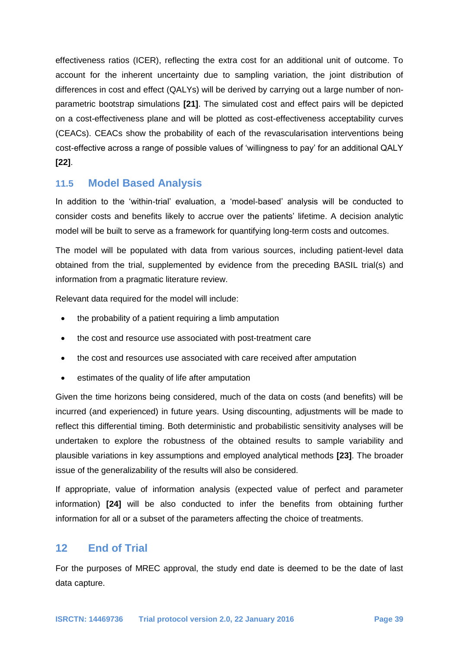effectiveness ratios (ICER), reflecting the extra cost for an additional unit of outcome. To account for the inherent uncertainty due to sampling variation, the joint distribution of differences in cost and effect (QALYs) will be derived by carrying out a large number of nonparametric bootstrap simulations **[21]**. The simulated cost and effect pairs will be depicted on a cost-effectiveness plane and will be plotted as cost-effectiveness acceptability curves (CEACs). CEACs show the probability of each of the revascularisation interventions being cost-effective across a range of possible values of 'willingness to pay' for an additional QALY **[22]**.

# **11.5 Model Based Analysis**

In addition to the 'within-trial' evaluation, a 'model-based' analysis will be conducted to consider costs and benefits likely to accrue over the patients' lifetime. A decision analytic model will be built to serve as a framework for quantifying long-term costs and outcomes.

The model will be populated with data from various sources, including patient-level data obtained from the trial, supplemented by evidence from the preceding BASIL trial(s) and information from a pragmatic literature review.

Relevant data required for the model will include:

- the probability of a patient requiring a limb amputation
- the cost and resource use associated with post-treatment care
- the cost and resources use associated with care received after amputation
- estimates of the quality of life after amputation

Given the time horizons being considered, much of the data on costs (and benefits) will be incurred (and experienced) in future years. Using discounting, adjustments will be made to reflect this differential timing. Both deterministic and probabilistic sensitivity analyses will be undertaken to explore the robustness of the obtained results to sample variability and plausible variations in key assumptions and employed analytical methods **[23]**. The broader issue of the generalizability of the results will also be considered.

If appropriate, value of information analysis (expected value of perfect and parameter information) **[24]** will be also conducted to infer the benefits from obtaining further information for all or a subset of the parameters affecting the choice of treatments.

# **12 End of Trial**

For the purposes of MREC approval, the study end date is deemed to be the date of last data capture.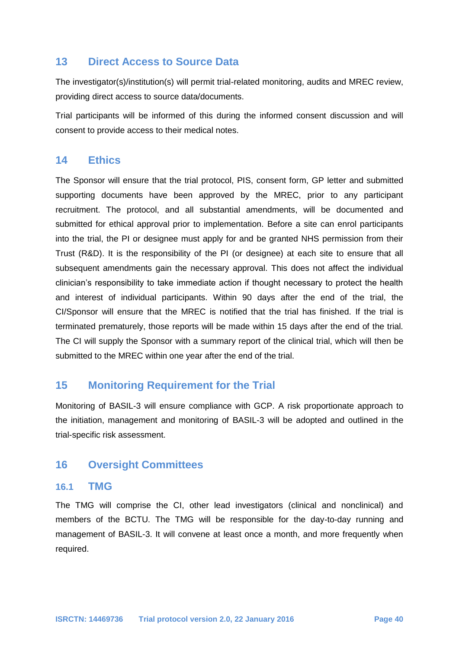# **13 Direct Access to Source Data**

The investigator(s)/institution(s) will permit trial-related monitoring, audits and MREC review, providing direct access to source data/documents.

Trial participants will be informed of this during the informed consent discussion and will consent to provide access to their medical notes.

### **14 Ethics**

The Sponsor will ensure that the trial protocol, PIS, consent form, GP letter and submitted supporting documents have been approved by the MREC, prior to any participant recruitment. The protocol, and all substantial amendments, will be documented and submitted for ethical approval prior to implementation. Before a site can enrol participants into the trial, the PI or designee must apply for and be granted NHS permission from their Trust (R&D). It is the responsibility of the PI (or designee) at each site to ensure that all subsequent amendments gain the necessary approval. This does not affect the individual clinician's responsibility to take immediate action if thought necessary to protect the health and interest of individual participants. Within 90 days after the end of the trial, the CI/Sponsor will ensure that the MREC is notified that the trial has finished. If the trial is terminated prematurely, those reports will be made within 15 days after the end of the trial. The CI will supply the Sponsor with a summary report of the clinical trial, which will then be submitted to the MREC within one year after the end of the trial.

# **15 Monitoring Requirement for the Trial**

Monitoring of BASIL-3 will ensure compliance with GCP. A risk proportionate approach to the initiation, management and monitoring of BASIL-3 will be adopted and outlined in the trial-specific risk assessment.

# **16 Oversight Committees**

#### **16.1 TMG**

The TMG will comprise the CI, other lead investigators (clinical and nonclinical) and members of the BCTU. The TMG will be responsible for the day-to-day running and management of BASIL-3. It will convene at least once a month, and more frequently when required.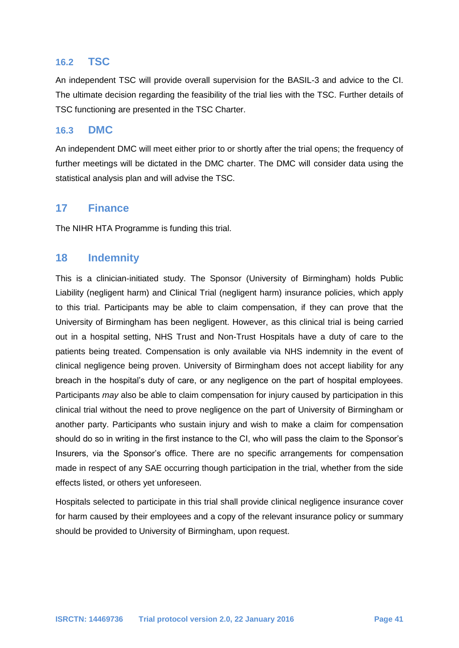### **16.2 TSC**

An independent TSC will provide overall supervision for the BASIL-3 and advice to the CI. The ultimate decision regarding the feasibility of the trial lies with the TSC. Further details of TSC functioning are presented in the TSC Charter.

### **16.3 DMC**

An independent DMC will meet either prior to or shortly after the trial opens; the frequency of further meetings will be dictated in the DMC charter. The DMC will consider data using the statistical analysis plan and will advise the TSC.

### **17 Finance**

The NIHR HTA Programme is funding this trial.

### **18 Indemnity**

This is a clinician-initiated study. The Sponsor (University of Birmingham) holds Public Liability (negligent harm) and Clinical Trial (negligent harm) insurance policies, which apply to this trial. Participants may be able to claim compensation, if they can prove that the University of Birmingham has been negligent. However, as this clinical trial is being carried out in a hospital setting, NHS Trust and Non-Trust Hospitals have a duty of care to the patients being treated. Compensation is only available via NHS indemnity in the event of clinical negligence being proven. University of Birmingham does not accept liability for any breach in the hospital's duty of care, or any negligence on the part of hospital employees. Participants *may* also be able to claim compensation for injury caused by participation in this clinical trial without the need to prove negligence on the part of University of Birmingham or another party. Participants who sustain injury and wish to make a claim for compensation should do so in writing in the first instance to the CI, who will pass the claim to the Sponsor's Insurers, via the Sponsor's office. There are no specific arrangements for compensation made in respect of any SAE occurring though participation in the trial, whether from the side effects listed, or others yet unforeseen.

Hospitals selected to participate in this trial shall provide clinical negligence insurance cover for harm caused by their employees and a copy of the relevant insurance policy or summary should be provided to University of Birmingham, upon request.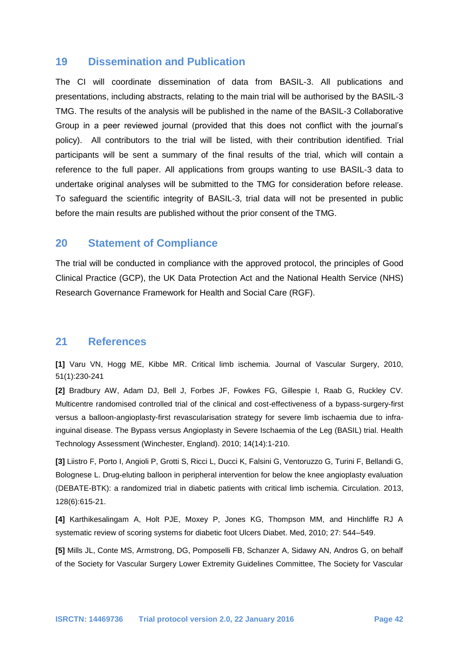### **19 Dissemination and Publication**

The CI will coordinate dissemination of data from BASIL-3. All publications and presentations, including abstracts, relating to the main trial will be authorised by the BASIL-3 TMG. The results of the analysis will be published in the name of the BASIL-3 Collaborative Group in a peer reviewed journal (provided that this does not conflict with the journal's policy). All contributors to the trial will be listed, with their contribution identified. Trial participants will be sent a summary of the final results of the trial, which will contain a reference to the full paper. All applications from groups wanting to use BASIL-3 data to undertake original analyses will be submitted to the TMG for consideration before release. To safeguard the scientific integrity of BASIL-3, trial data will not be presented in public before the main results are published without the prior consent of the TMG.

### **20 Statement of Compliance**

The trial will be conducted in compliance with the approved protocol, the principles of Good Clinical Practice (GCP), the UK Data Protection Act and the National Health Service (NHS) Research Governance Framework for Health and Social Care (RGF).

### **21 References**

**[1]** Varu VN, Hogg ME, Kibbe MR. Critical limb ischemia. Journal of Vascular Surgery, 2010, 51(1):230-241

**[2]** Bradbury AW, Adam DJ, Bell J, Forbes JF, Fowkes FG, Gillespie I, Raab G, Ruckley CV. Multicentre randomised controlled trial of the clinical and cost-effectiveness of a bypass-surgery-first versus a balloon-angioplasty-first revascularisation strategy for severe limb ischaemia due to infrainguinal disease. The Bypass versus Angioplasty in Severe Ischaemia of the Leg (BASIL) trial. Health Technology Assessment (Winchester, England). 2010; 14(14):1-210.

**[3]** Liistro F, Porto I, Angioli P, Grotti S, Ricci L, Ducci K, Falsini G, Ventoruzzo G, Turini F, Bellandi G, Bolognese L. Drug-eluting balloon in peripheral intervention for below the knee angioplasty evaluation (DEBATE-BTK): a randomized trial in diabetic patients with critical limb ischemia. Circulation. 2013, 128(6):615-21.

**[4]** Karthikesalingam A, Holt PJE, Moxey P, Jones KG, Thompson MM, and Hinchliffe RJ A systematic review of scoring systems for diabetic foot Ulcers Diabet. Med, 2010; 27: 544–549.

**[5]** Mills JL, Conte MS, Armstrong, DG, Pomposelli FB, Schanzer A, Sidawy AN, Andros G, on behalf of the Society for Vascular Surgery Lower Extremity Guidelines Committee, The Society for Vascular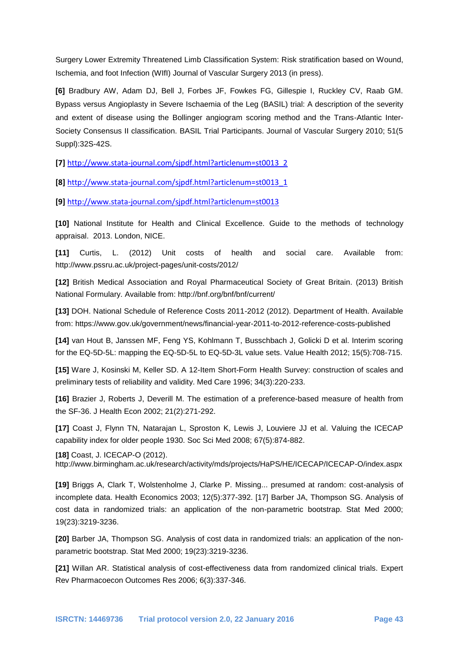Surgery Lower Extremity Threatened Limb Classification System: Risk stratification based on Wound, Ischemia, and foot Infection (WIfI) Journal of Vascular Surgery 2013 (in press).

**[6]** Bradbury AW, Adam DJ, Bell J, Forbes JF, Fowkes FG, Gillespie I, Ruckley CV, Raab GM. Bypass versus Angioplasty in Severe Ischaemia of the Leg (BASIL) trial: A description of the severity and extent of disease using the Bollinger angiogram scoring method and the Trans-Atlantic Inter-Society Consensus II classification. BASIL Trial Participants. Journal of Vascular Surgery 2010; 51(5 Suppl):32S-42S.

**[7]** [http://www.stata-journal.com/sjpdf.html?articlenum=st0013\\_2](http://www.stata-journal.com/sjpdf.html?articlenum=st0013_2)

**[8]** [http://www.stata-journal.com/sjpdf.html?articlenum=st0013\\_1](http://www.stata-journal.com/sjpdf.html?articlenum=st0013_1)

**[9]** <http://www.stata-journal.com/sjpdf.html?articlenum=st0013>

**[10]** National Institute for Health and Clinical Excellence. Guide to the methods of technology appraisal. 2013. London, NICE.

**[11]** Curtis, L. (2012) Unit costs of health and social care. Available from: http://www.pssru.ac.uk/project-pages/unit-costs/2012/

**[12]** British Medical Association and Royal Pharmaceutical Society of Great Britain. (2013) British National Formulary. Available from: http://bnf.org/bnf/bnf/current/

**[13]** DOH. National Schedule of Reference Costs 2011-2012 (2012). Department of Health. Available from: https://www.gov.uk/government/news/financial-year-2011-to-2012-reference-costs-published

**[14]** van Hout B, Janssen MF, Feng YS, Kohlmann T, Busschbach J, Golicki D et al. Interim scoring for the EQ-5D-5L: mapping the EQ-5D-5L to EQ-5D-3L value sets. Value Health 2012; 15(5):708-715.

**[15]** Ware J, Kosinski M, Keller SD. A 12-Item Short-Form Health Survey: construction of scales and preliminary tests of reliability and validity. Med Care 1996; 34(3):220-233.

**[16]** Brazier J, Roberts J, Deverill M. The estimation of a preference-based measure of health from the SF-36. J Health Econ 2002; 21(2):271-292.

**[17]** Coast J, Flynn TN, Natarajan L, Sproston K, Lewis J, Louviere JJ et al. Valuing the ICECAP capability index for older people 1930. Soc Sci Med 2008; 67(5):874-882.

**[18]** Coast, J. ICECAP-O (2012).

http://www.birmingham.ac.uk/research/activity/mds/projects/HaPS/HE/ICECAP/ICECAP-O/index.aspx

**[19]** Briggs A, Clark T, Wolstenholme J, Clarke P. Missing... presumed at random: cost-analysis of incomplete data. Health Economics 2003; 12(5):377-392. [17] Barber JA, Thompson SG. Analysis of cost data in randomized trials: an application of the non-parametric bootstrap. Stat Med 2000; 19(23):3219-3236.

**[20]** Barber JA, Thompson SG. Analysis of cost data in randomized trials: an application of the nonparametric bootstrap. Stat Med 2000; 19(23):3219-3236.

**[21]** Willan AR. Statistical analysis of cost-effectiveness data from randomized clinical trials. Expert Rev Pharmacoecon Outcomes Res 2006; 6(3):337-346.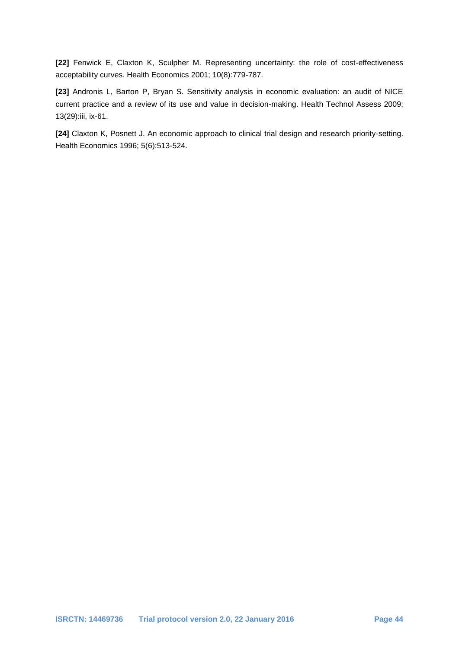**[22]** Fenwick E, Claxton K, Sculpher M. Representing uncertainty: the role of cost-effectiveness acceptability curves. Health Economics 2001; 10(8):779-787.

**[23]** Andronis L, Barton P, Bryan S. Sensitivity analysis in economic evaluation: an audit of NICE current practice and a review of its use and value in decision-making. Health Technol Assess 2009; 13(29):iii, ix-61.

**[24]** Claxton K, Posnett J. An economic approach to clinical trial design and research priority-setting. Health Economics 1996; 5(6):513-524.